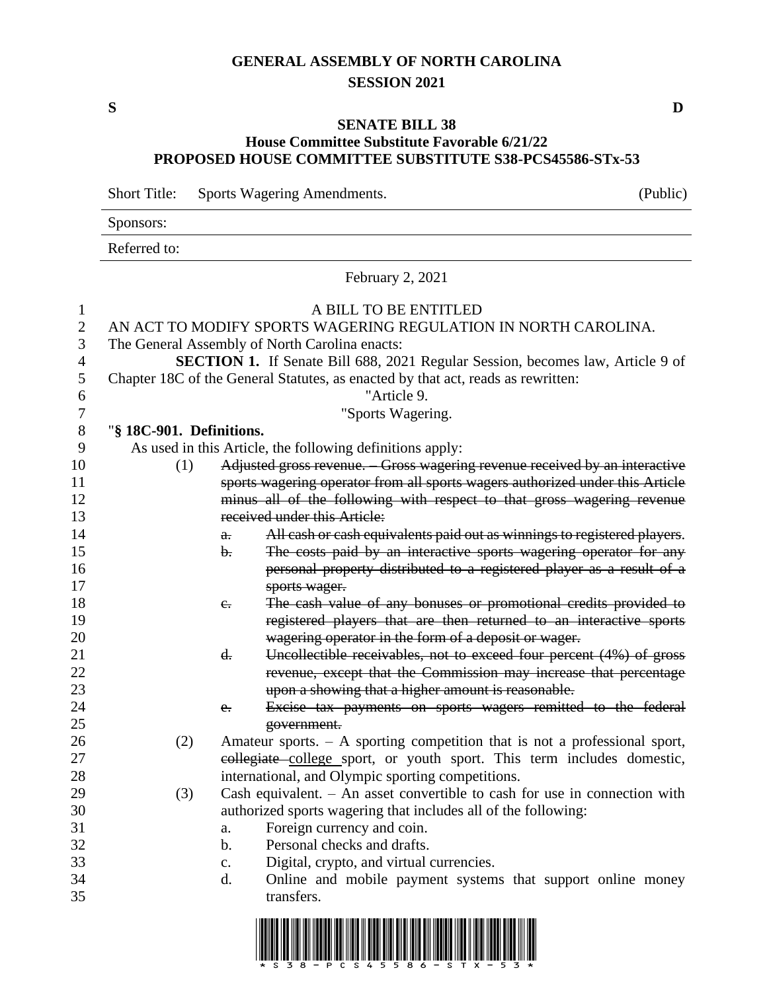# **GENERAL ASSEMBLY OF NORTH CAROLINA SESSION 2021**

### **SENATE BILL 38 House Committee Substitute Favorable 6/21/22 PROPOSED HOUSE COMMITTEE SUBSTITUTE S38-PCS45586-STx-53**

Short Title: Sports Wagering Amendments. (Public) Sponsors: Referred to: February 2, 2021 A BILL TO BE ENTITLED AN ACT TO MODIFY SPORTS WAGERING REGULATION IN NORTH CAROLINA. The General Assembly of North Carolina enacts: **SECTION 1.** If Senate Bill 688, 2021 Regular Session, becomes law, Article 9 of Chapter 18C of the General Statutes, as enacted by that act, reads as rewritten: "Article 9. "Sports Wagering. "**§ 18C-901. Definitions.** As used in this Article, the following definitions apply: (1) Adjusted gross revenue. – Gross wagering revenue received by an interactive sports wagering operator from all sports wagers authorized under this Article minus all of the following with respect to that gross wagering revenue 13 received under this Article: **a.** All cash or cash equivalents paid out as winnings to registered players. 15 b. The costs paid by an interactive sports wagering operator for any personal property distributed to a registered player as a result of a 17 sports wager. 18 c. The cash value of any bonuses or promotional credits provided to registered players that are then returned to an interactive sports wagering operator in the form of a deposit or wager. 21 d. Uncollectible receivables, not to exceed four percent (4%) of gross revenue, except that the Commission may increase that percentage upon a showing that a higher amount is reasonable. e. Excise tax payments on sports wagers remitted to the federal government. (2) Amateur sports. – A sporting competition that is not a professional sport, 27 collegiate college sport, or youth sport. This term includes domestic, international, and Olympic sporting competitions. (3) Cash equivalent. – An asset convertible to cash for use in connection with authorized sports wagering that includes all of the following: a. Foreign currency and coin. b. Personal checks and drafts. c. Digital, crypto, and virtual currencies. d. Online and mobile payment systems that support online money transfers.



**S D**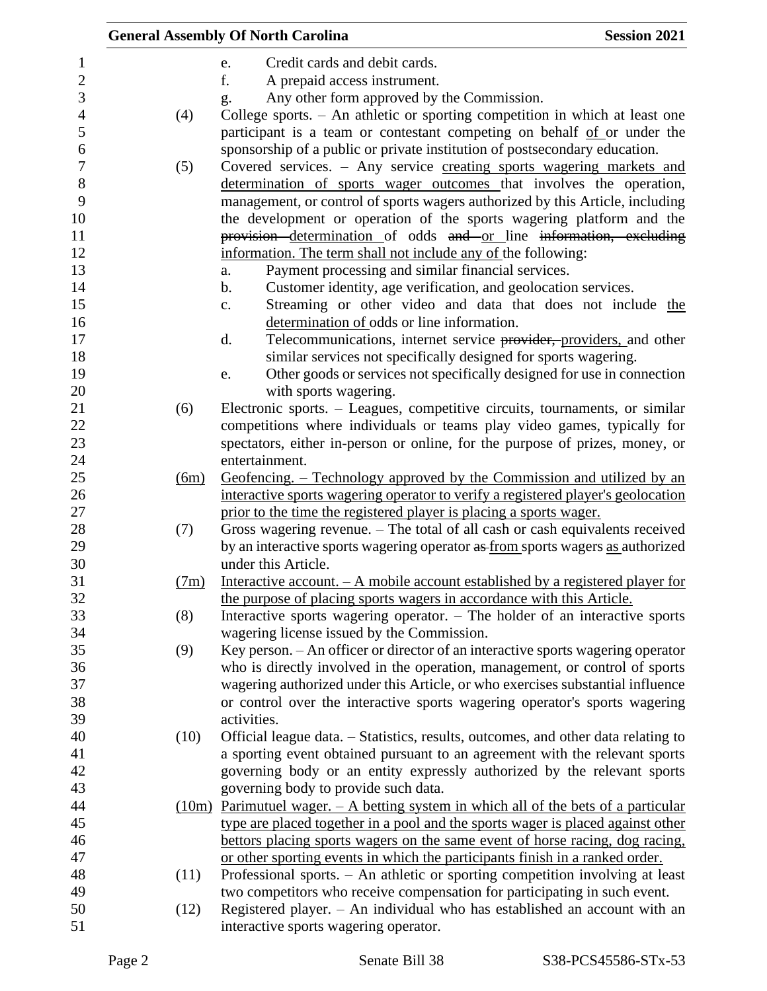|      |                | <b>General Assembly Of North Carolina</b>                                                                                                            | <b>Session 2021</b> |
|------|----------------|------------------------------------------------------------------------------------------------------------------------------------------------------|---------------------|
|      |                | Credit cards and debit cards.<br>e.                                                                                                                  |                     |
|      |                | f.<br>A prepaid access instrument.                                                                                                                   |                     |
|      |                | Any other form approved by the Commission.<br>g.                                                                                                     |                     |
| (4)  |                | College sports. - An athletic or sporting competition in which at least one                                                                          |                     |
|      |                | participant is a team or contestant competing on behalf of or under the                                                                              |                     |
|      |                | sponsorship of a public or private institution of postsecondary education.                                                                           |                     |
| (5)  |                | Covered services. - Any service creating sports wagering markets and                                                                                 |                     |
|      |                | determination of sports wager outcomes that involves the operation,<br>management, or control of sports wagers authorized by this Article, including |                     |
|      |                | the development or operation of the sports wagering platform and the                                                                                 |                     |
|      |                | provision determination of odds and or line information, excluding                                                                                   |                     |
|      |                | information. The term shall not include any of the following:                                                                                        |                     |
|      |                | Payment processing and similar financial services.<br>a.                                                                                             |                     |
|      |                | Customer identity, age verification, and geolocation services.<br>b.                                                                                 |                     |
|      |                | Streaming or other video and data that does not include the<br>c.                                                                                    |                     |
|      |                | determination of odds or line information.                                                                                                           |                     |
|      |                | Telecommunications, internet service providers, providers, and other<br>d.                                                                           |                     |
|      |                | similar services not specifically designed for sports wagering.                                                                                      |                     |
|      |                | Other goods or services not specifically designed for use in connection<br>e.                                                                        |                     |
|      |                | with sports wagering.                                                                                                                                |                     |
| (6)  |                | Electronic sports. – Leagues, competitive circuits, tournaments, or similar                                                                          |                     |
|      |                | competitions where individuals or teams play video games, typically for                                                                              |                     |
|      |                | spectators, either in-person or online, for the purpose of prizes, money, or                                                                         |                     |
|      |                | entertainment.                                                                                                                                       |                     |
|      | $\frac{6m}{2}$ | Geofencing. – Technology approved by the Commission and utilized by an                                                                               |                     |
|      |                | interactive sports wagering operator to verify a registered player's geolocation                                                                     |                     |
|      |                | prior to the time the registered player is placing a sports wager.                                                                                   |                     |
| (7)  |                | Gross wagering revenue. - The total of all cash or cash equivalents received                                                                         |                     |
|      |                | by an interactive sports wagering operator as from sports wagers as authorized<br>under this Article.                                                |                     |
|      | (7m)           | Interactive account. - A mobile account established by a registered player for                                                                       |                     |
|      |                | the purpose of placing sports wagers in accordance with this Article.                                                                                |                     |
| (8)  |                | Interactive sports wagering operator. - The holder of an interactive sports                                                                          |                     |
|      |                | wagering license issued by the Commission.                                                                                                           |                     |
| (9)  |                | Key person. - An officer or director of an interactive sports wagering operator                                                                      |                     |
|      |                | who is directly involved in the operation, management, or control of sports                                                                          |                     |
|      |                | wagering authorized under this Article, or who exercises substantial influence                                                                       |                     |
|      |                | or control over the interactive sports wagering operator's sports wagering                                                                           |                     |
|      |                | activities.                                                                                                                                          |                     |
| (10) |                | Official league data. – Statistics, results, outcomes, and other data relating to                                                                    |                     |
|      |                | a sporting event obtained pursuant to an agreement with the relevant sports                                                                          |                     |
|      |                | governing body or an entity expressly authorized by the relevant sports                                                                              |                     |
|      |                | governing body to provide such data.                                                                                                                 |                     |
|      |                | $(10m)$ Parimutuel wager. $-$ A betting system in which all of the bets of a particular                                                              |                     |
|      |                | type are placed together in a pool and the sports wager is placed against other                                                                      |                     |
|      |                | bettors placing sports wagers on the same event of horse racing, dog racing,                                                                         |                     |
|      |                | or other sporting events in which the participants finish in a ranked order.                                                                         |                     |
| (11) |                | Professional sports. - An athletic or sporting competition involving at least                                                                        |                     |
|      |                | two competitors who receive compensation for participating in such event.                                                                            |                     |
| (12) |                | Registered player. - An individual who has established an account with an                                                                            |                     |
|      |                |                                                                                                                                                      |                     |
|      |                | interactive sports wagering operator.                                                                                                                |                     |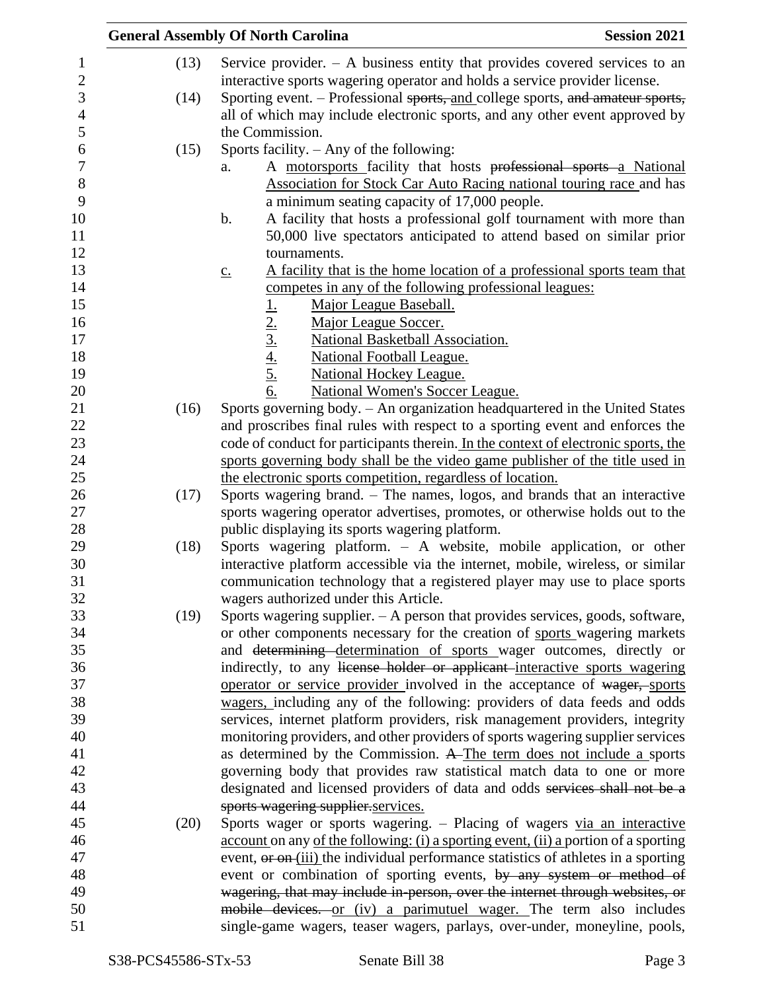|      | <b>General Assembly Of North Carolina</b><br><b>Session 2021</b>                                 |
|------|--------------------------------------------------------------------------------------------------|
| (13) | Service provider. $-$ A business entity that provides covered services to an                     |
|      | interactive sports wagering operator and holds a service provider license.                       |
| (14) | Sporting event. – Professional sports, and college sports, and amateur sports,                   |
|      | all of which may include electronic sports, and any other event approved by                      |
|      | the Commission.                                                                                  |
| (15) | Sports facility. $-$ Any of the following:                                                       |
|      | A motorsports facility that hosts professional sports a National<br>a.                           |
|      | Association for Stock Car Auto Racing national touring race and has                              |
|      | a minimum seating capacity of 17,000 people.                                                     |
|      | A facility that hosts a professional golf tournament with more than<br>b.                        |
|      | 50,000 live spectators anticipated to attend based on similar prior                              |
|      | tournaments.                                                                                     |
|      | A facility that is the home location of a professional sports team that<br>$\underline{c}$ .     |
|      | competes in any of the following professional leagues:                                           |
|      | Major League Baseball.                                                                           |
|      | $\frac{1}{2}$ .<br>$\frac{2}{3}$ .<br>$\frac{4}{5}$ .<br>$\frac{5}{6}$ .<br>Major League Soccer. |
|      | National Basketball Association.                                                                 |
|      | <b>National Football League.</b>                                                                 |
|      | <b>National Hockey League.</b>                                                                   |
|      | National Women's Soccer League.                                                                  |
| (16) | Sports governing body. - An organization headquartered in the United States                      |
|      | and proscribes final rules with respect to a sporting event and enforces the                     |
|      | code of conduct for participants therein. In the context of electronic sports, the               |
|      | sports governing body shall be the video game publisher of the title used in                     |
|      | the electronic sports competition, regardless of location.                                       |
| (17) | Sports wagering brand. – The names, logos, and brands that an interactive                        |
|      | sports wagering operator advertises, promotes, or otherwise holds out to the                     |
|      | public displaying its sports wagering platform.                                                  |
| (18) | Sports wagering platform. - A website, mobile application, or other                              |
|      | interactive platform accessible via the internet, mobile, wireless, or similar                   |
|      | communication technology that a registered player may use to place sports                        |
|      | wagers authorized under this Article.                                                            |
| (19) | Sports wagering supplier. $- A$ person that provides services, goods, software,                  |
|      | or other components necessary for the creation of sports wagering markets                        |
|      | and determining determination of sports wager outcomes, directly or                              |
|      | indirectly, to any license holder or applicant interactive sports wagering                       |
|      | operator or service provider involved in the acceptance of wager, sports                         |
|      | wagers, including any of the following: providers of data feeds and odds                         |
|      | services, internet platform providers, risk management providers, integrity                      |
|      | monitoring providers, and other providers of sports wagering supplier services                   |
|      | as determined by the Commission. A The term does not include a sports                            |
|      | governing body that provides raw statistical match data to one or more                           |
|      | designated and licensed providers of data and odds services shall not be a                       |
|      | sports wagering supplier.services.                                                               |
|      | Sports wager or sports wagering. - Placing of wagers via an interactive                          |
| (20) |                                                                                                  |
|      | account on any of the following: (i) a sporting event, (ii) a portion of a sporting              |
|      | event, or on (iii) the individual performance statistics of athletes in a sporting               |
|      | event or combination of sporting events, by any system or method of                              |
|      | wagering, that may include in-person, over the internet through websites, or                     |
|      | mobile devices. or (iv) a parimutuel wager. The term also includes                               |
|      | single-game wagers, teaser wagers, parlays, over-under, moneyline, pools,                        |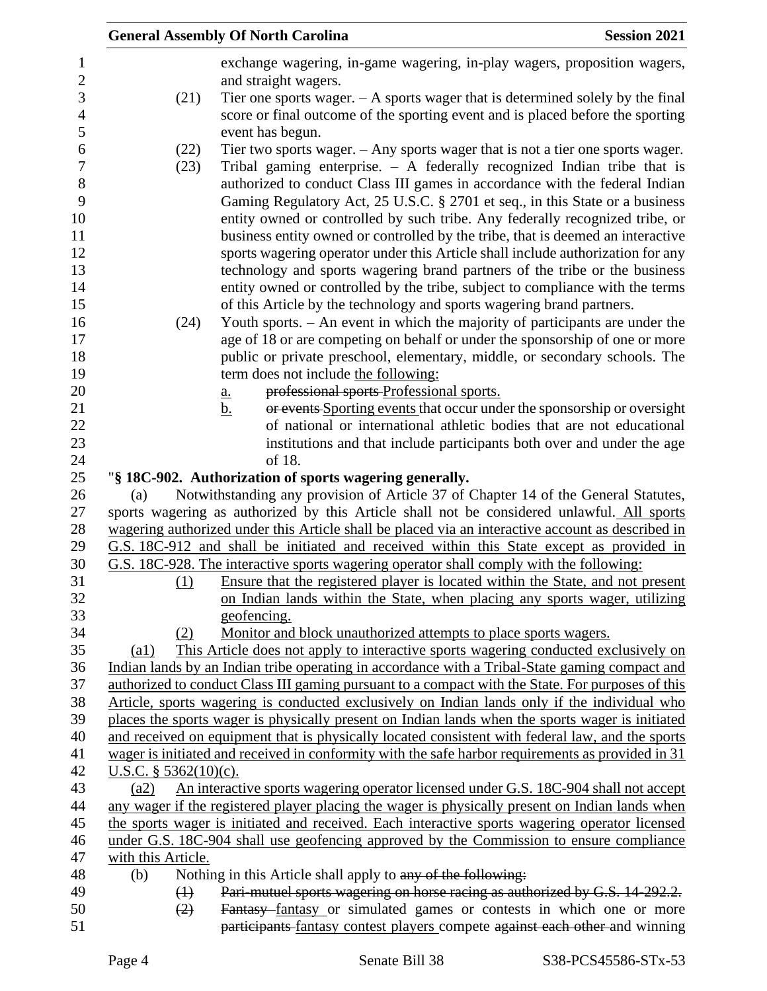|                              | <b>General Assembly Of North Carolina</b>                                                                                                                                                                                                                                                                                                                                                                                                                                                                                                                                                                                                                     | <b>Session 2021</b> |
|------------------------------|---------------------------------------------------------------------------------------------------------------------------------------------------------------------------------------------------------------------------------------------------------------------------------------------------------------------------------------------------------------------------------------------------------------------------------------------------------------------------------------------------------------------------------------------------------------------------------------------------------------------------------------------------------------|---------------------|
|                              | exchange wagering, in-game wagering, in-play wagers, proposition wagers,<br>and straight wagers.                                                                                                                                                                                                                                                                                                                                                                                                                                                                                                                                                              |                     |
| (21)                         | Tier one sports wager. $- A$ sports wager that is determined solely by the final<br>score or final outcome of the sporting event and is placed before the sporting<br>event has begun.                                                                                                                                                                                                                                                                                                                                                                                                                                                                        |                     |
| (22)                         | Tier two sports wager. $-$ Any sports wager that is not a tier one sports wager.                                                                                                                                                                                                                                                                                                                                                                                                                                                                                                                                                                              |                     |
| (23)                         | Tribal gaming enterprise. $-$ A federally recognized Indian tribe that is<br>authorized to conduct Class III games in accordance with the federal Indian<br>Gaming Regulatory Act, 25 U.S.C. § 2701 et seq., in this State or a business<br>entity owned or controlled by such tribe. Any federally recognized tribe, or<br>business entity owned or controlled by the tribe, that is deemed an interactive<br>sports wagering operator under this Article shall include authorization for any<br>technology and sports wagering brand partners of the tribe or the business<br>entity owned or controlled by the tribe, subject to compliance with the terms |                     |
|                              | of this Article by the technology and sports wagering brand partners.                                                                                                                                                                                                                                                                                                                                                                                                                                                                                                                                                                                         |                     |
| (24)                         | Youth sports. - An event in which the majority of participants are under the                                                                                                                                                                                                                                                                                                                                                                                                                                                                                                                                                                                  |                     |
|                              | age of 18 or are competing on behalf or under the sponsorship of one or more                                                                                                                                                                                                                                                                                                                                                                                                                                                                                                                                                                                  |                     |
|                              | public or private preschool, elementary, middle, or secondary schools. The<br>term does not include the following:                                                                                                                                                                                                                                                                                                                                                                                                                                                                                                                                            |                     |
|                              | professional sports-Professional sports.<br><u>a.</u>                                                                                                                                                                                                                                                                                                                                                                                                                                                                                                                                                                                                         |                     |
|                              | or events Sporting events that occur under the sponsorship or oversight<br><u>b.</u>                                                                                                                                                                                                                                                                                                                                                                                                                                                                                                                                                                          |                     |
|                              | of national or international athletic bodies that are not educational                                                                                                                                                                                                                                                                                                                                                                                                                                                                                                                                                                                         |                     |
|                              | institutions and that include participants both over and under the age                                                                                                                                                                                                                                                                                                                                                                                                                                                                                                                                                                                        |                     |
|                              | of 18.                                                                                                                                                                                                                                                                                                                                                                                                                                                                                                                                                                                                                                                        |                     |
|                              | "§ 18C-902. Authorization of sports wagering generally.                                                                                                                                                                                                                                                                                                                                                                                                                                                                                                                                                                                                       |                     |
| (a)                          | Notwithstanding any provision of Article 37 of Chapter 14 of the General Statutes,                                                                                                                                                                                                                                                                                                                                                                                                                                                                                                                                                                            |                     |
|                              | sports wagering as authorized by this Article shall not be considered unlawful. All sports                                                                                                                                                                                                                                                                                                                                                                                                                                                                                                                                                                    |                     |
|                              | wagering authorized under this Article shall be placed via an interactive account as described in                                                                                                                                                                                                                                                                                                                                                                                                                                                                                                                                                             |                     |
|                              | G.S. 18C-912 and shall be initiated and received within this State except as provided in                                                                                                                                                                                                                                                                                                                                                                                                                                                                                                                                                                      |                     |
|                              | G.S. 18C-928. The interactive sports wagering operator shall comply with the following:                                                                                                                                                                                                                                                                                                                                                                                                                                                                                                                                                                       |                     |
| (1)                          | Ensure that the registered player is located within the State, and not present                                                                                                                                                                                                                                                                                                                                                                                                                                                                                                                                                                                |                     |
|                              | on Indian lands within the State, when placing any sports wager, utilizing                                                                                                                                                                                                                                                                                                                                                                                                                                                                                                                                                                                    |                     |
|                              | geofencing.                                                                                                                                                                                                                                                                                                                                                                                                                                                                                                                                                                                                                                                   |                     |
| (2)                          | Monitor and block unauthorized attempts to place sports wagers.                                                                                                                                                                                                                                                                                                                                                                                                                                                                                                                                                                                               |                     |
| (a1)                         | This Article does not apply to interactive sports wagering conducted exclusively on                                                                                                                                                                                                                                                                                                                                                                                                                                                                                                                                                                           |                     |
|                              | Indian lands by an Indian tribe operating in accordance with a Tribal-State gaming compact and                                                                                                                                                                                                                                                                                                                                                                                                                                                                                                                                                                |                     |
|                              | authorized to conduct Class III gaming pursuant to a compact with the State. For purposes of this                                                                                                                                                                                                                                                                                                                                                                                                                                                                                                                                                             |                     |
|                              | Article, sports wagering is conducted exclusively on Indian lands only if the individual who<br>places the sports wager is physically present on Indian lands when the sports wager is initiated                                                                                                                                                                                                                                                                                                                                                                                                                                                              |                     |
|                              | and received on equipment that is physically located consistent with federal law, and the sports                                                                                                                                                                                                                                                                                                                                                                                                                                                                                                                                                              |                     |
|                              | wager is initiated and received in conformity with the safe harbor requirements as provided in 31                                                                                                                                                                                                                                                                                                                                                                                                                                                                                                                                                             |                     |
| <u>U.S.C. § 5362(10)(c).</u> |                                                                                                                                                                                                                                                                                                                                                                                                                                                                                                                                                                                                                                                               |                     |
| (a2)                         | An interactive sports wagering operator licensed under G.S. 18C-904 shall not accept                                                                                                                                                                                                                                                                                                                                                                                                                                                                                                                                                                          |                     |
|                              | any wager if the registered player placing the wager is physically present on Indian lands when                                                                                                                                                                                                                                                                                                                                                                                                                                                                                                                                                               |                     |
|                              | the sports wager is initiated and received. Each interactive sports wagering operator licensed                                                                                                                                                                                                                                                                                                                                                                                                                                                                                                                                                                |                     |
|                              | under G.S. 18C-904 shall use geofencing approved by the Commission to ensure compliance                                                                                                                                                                                                                                                                                                                                                                                                                                                                                                                                                                       |                     |
| with this Article.           |                                                                                                                                                                                                                                                                                                                                                                                                                                                                                                                                                                                                                                                               |                     |
| (b)                          | Nothing in this Article shall apply to any of the following:                                                                                                                                                                                                                                                                                                                                                                                                                                                                                                                                                                                                  |                     |
| $\leftrightarrow$            | Pari-mutuel sports wagering on horse racing as authorized by G.S. 14-292.2.                                                                                                                                                                                                                                                                                                                                                                                                                                                                                                                                                                                   |                     |
| (2)                          | Fantasy fantasy or simulated games or contests in which one or more                                                                                                                                                                                                                                                                                                                                                                                                                                                                                                                                                                                           |                     |
|                              | participants fantasy contest players compete against each other and winning                                                                                                                                                                                                                                                                                                                                                                                                                                                                                                                                                                                   |                     |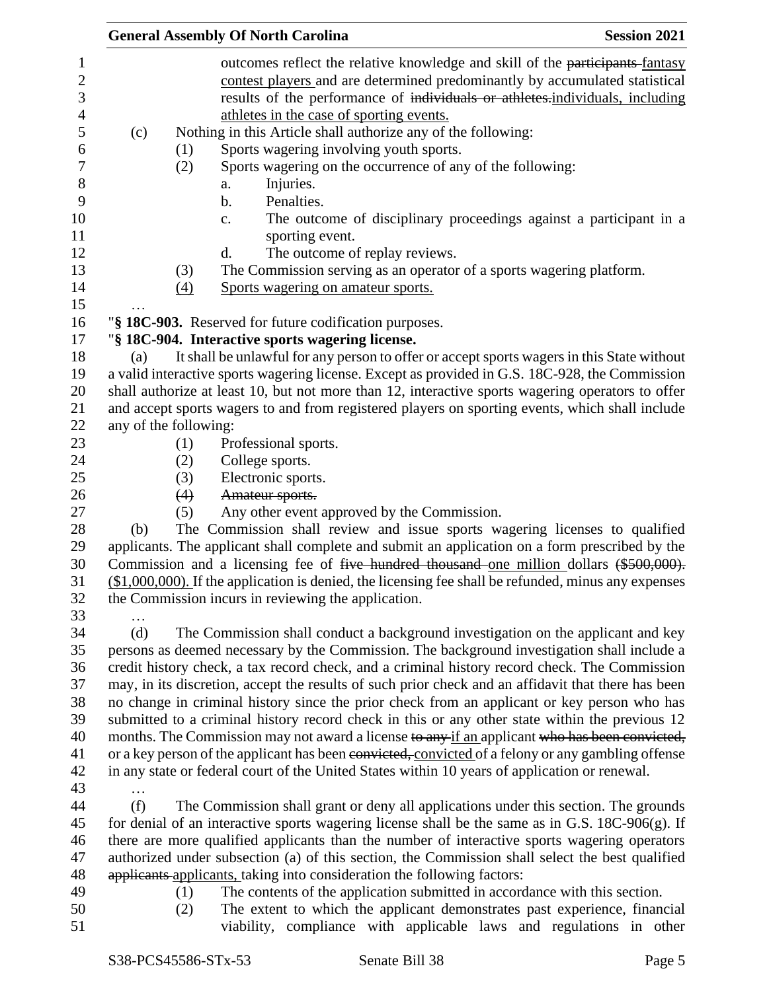|                                                                                                                               |                       |                          | <b>General Assembly Of North Carolina</b>                                                                                                                                                                                                                                                                                                                                               | <b>Session 2021</b>                                                                                                                                                                                                                                                                                                                                                                        |
|-------------------------------------------------------------------------------------------------------------------------------|-----------------------|--------------------------|-----------------------------------------------------------------------------------------------------------------------------------------------------------------------------------------------------------------------------------------------------------------------------------------------------------------------------------------------------------------------------------------|--------------------------------------------------------------------------------------------------------------------------------------------------------------------------------------------------------------------------------------------------------------------------------------------------------------------------------------------------------------------------------------------|
| $\mathbf{1}$<br>$\mathbf{2}$<br>3<br>$\overline{4}$<br>5<br>6<br>$\boldsymbol{7}$<br>$8\,$<br>9<br>10<br>11<br>12<br>13<br>14 | (c)                   | (1)<br>(2)<br>(3)<br>(4) | athletes in the case of sporting events.<br>Nothing in this Article shall authorize any of the following:<br>Sports wagering involving youth sports.<br>Sports wagering on the occurrence of any of the following:<br>Injuries.<br>a.<br>Penalties.<br>$\mathbf b$ .<br>$\mathbf{c}$ .<br>sporting event.<br>d.<br>The outcome of replay reviews.<br>Sports wagering on amateur sports. | outcomes reflect the relative knowledge and skill of the participants-fantasy<br>contest players and are determined predominantly by accumulated statistical<br>results of the performance of individuals or athletes.individuals, including<br>The outcome of disciplinary proceedings against a participant in a<br>The Commission serving as an operator of a sports wagering platform. |
| 15                                                                                                                            |                       |                          |                                                                                                                                                                                                                                                                                                                                                                                         |                                                                                                                                                                                                                                                                                                                                                                                            |
| 16                                                                                                                            |                       |                          | "§ 18C-903. Reserved for future codification purposes.                                                                                                                                                                                                                                                                                                                                  |                                                                                                                                                                                                                                                                                                                                                                                            |
| 17                                                                                                                            |                       |                          | "§ 18C-904. Interactive sports wagering license.                                                                                                                                                                                                                                                                                                                                        |                                                                                                                                                                                                                                                                                                                                                                                            |
| 18                                                                                                                            | (a)                   |                          |                                                                                                                                                                                                                                                                                                                                                                                         | It shall be unlawful for any person to offer or accept sports wagers in this State without                                                                                                                                                                                                                                                                                                 |
| 19                                                                                                                            |                       |                          |                                                                                                                                                                                                                                                                                                                                                                                         | a valid interactive sports wagering license. Except as provided in G.S. 18C-928, the Commission                                                                                                                                                                                                                                                                                            |
| 20<br>21                                                                                                                      |                       |                          |                                                                                                                                                                                                                                                                                                                                                                                         | shall authorize at least 10, but not more than 12, interactive sports wagering operators to offer<br>and accept sports wagers to and from registered players on sporting events, which shall include                                                                                                                                                                                       |
| 22                                                                                                                            | any of the following: |                          |                                                                                                                                                                                                                                                                                                                                                                                         |                                                                                                                                                                                                                                                                                                                                                                                            |
| 23                                                                                                                            |                       | (1)                      | Professional sports.                                                                                                                                                                                                                                                                                                                                                                    |                                                                                                                                                                                                                                                                                                                                                                                            |
| 24                                                                                                                            |                       | (2)                      | College sports.                                                                                                                                                                                                                                                                                                                                                                         |                                                                                                                                                                                                                                                                                                                                                                                            |
| 25                                                                                                                            |                       | (3)                      | Electronic sports.                                                                                                                                                                                                                                                                                                                                                                      |                                                                                                                                                                                                                                                                                                                                                                                            |
| 26                                                                                                                            |                       | (4)                      | Amateur sports.                                                                                                                                                                                                                                                                                                                                                                         |                                                                                                                                                                                                                                                                                                                                                                                            |
| 27                                                                                                                            |                       | (5)                      | Any other event approved by the Commission.                                                                                                                                                                                                                                                                                                                                             |                                                                                                                                                                                                                                                                                                                                                                                            |
| 28                                                                                                                            | (b)                   |                          |                                                                                                                                                                                                                                                                                                                                                                                         | The Commission shall review and issue sports wagering licenses to qualified                                                                                                                                                                                                                                                                                                                |
| 29                                                                                                                            |                       |                          |                                                                                                                                                                                                                                                                                                                                                                                         | applicants. The applicant shall complete and submit an application on a form prescribed by the                                                                                                                                                                                                                                                                                             |
| 30                                                                                                                            |                       |                          |                                                                                                                                                                                                                                                                                                                                                                                         | Commission and a licensing fee of five hundred thousand one million dollars (\$500,000).                                                                                                                                                                                                                                                                                                   |
| 31                                                                                                                            |                       |                          |                                                                                                                                                                                                                                                                                                                                                                                         | $($1,000,000)$ . If the application is denied, the licensing fee shall be refunded, minus any expenses                                                                                                                                                                                                                                                                                     |
| 32                                                                                                                            |                       |                          | the Commission incurs in reviewing the application.                                                                                                                                                                                                                                                                                                                                     |                                                                                                                                                                                                                                                                                                                                                                                            |
| 33                                                                                                                            |                       |                          |                                                                                                                                                                                                                                                                                                                                                                                         |                                                                                                                                                                                                                                                                                                                                                                                            |
| 34<br>35                                                                                                                      | (d)                   |                          |                                                                                                                                                                                                                                                                                                                                                                                         | The Commission shall conduct a background investigation on the applicant and key<br>persons as deemed necessary by the Commission. The background investigation shall include a                                                                                                                                                                                                            |
| 36                                                                                                                            |                       |                          |                                                                                                                                                                                                                                                                                                                                                                                         | credit history check, a tax record check, and a criminal history record check. The Commission                                                                                                                                                                                                                                                                                              |
| 37                                                                                                                            |                       |                          |                                                                                                                                                                                                                                                                                                                                                                                         | may, in its discretion, accept the results of such prior check and an affidavit that there has been                                                                                                                                                                                                                                                                                        |
| 38                                                                                                                            |                       |                          |                                                                                                                                                                                                                                                                                                                                                                                         | no change in criminal history since the prior check from an applicant or key person who has                                                                                                                                                                                                                                                                                                |
| 39                                                                                                                            |                       |                          |                                                                                                                                                                                                                                                                                                                                                                                         | submitted to a criminal history record check in this or any other state within the previous 12                                                                                                                                                                                                                                                                                             |
| 40                                                                                                                            |                       |                          |                                                                                                                                                                                                                                                                                                                                                                                         | months. The Commission may not award a license to any if an applicant who has been convicted,                                                                                                                                                                                                                                                                                              |
| 41                                                                                                                            |                       |                          |                                                                                                                                                                                                                                                                                                                                                                                         | or a key person of the applicant has been convicted, convicted of a felony or any gambling offense                                                                                                                                                                                                                                                                                         |
| 42                                                                                                                            |                       |                          |                                                                                                                                                                                                                                                                                                                                                                                         | in any state or federal court of the United States within 10 years of application or renewal.                                                                                                                                                                                                                                                                                              |
| 43                                                                                                                            |                       |                          |                                                                                                                                                                                                                                                                                                                                                                                         |                                                                                                                                                                                                                                                                                                                                                                                            |
| 44                                                                                                                            | (f)                   |                          |                                                                                                                                                                                                                                                                                                                                                                                         | The Commission shall grant or deny all applications under this section. The grounds                                                                                                                                                                                                                                                                                                        |
| 45                                                                                                                            |                       |                          |                                                                                                                                                                                                                                                                                                                                                                                         | for denial of an interactive sports wagering license shall be the same as in G.S. $18C-906(g)$ . If                                                                                                                                                                                                                                                                                        |
| 46                                                                                                                            |                       |                          |                                                                                                                                                                                                                                                                                                                                                                                         | there are more qualified applicants than the number of interactive sports wagering operators                                                                                                                                                                                                                                                                                               |
| 47<br>48                                                                                                                      |                       |                          | applicants applicants, taking into consideration the following factors:                                                                                                                                                                                                                                                                                                                 | authorized under subsection (a) of this section, the Commission shall select the best qualified                                                                                                                                                                                                                                                                                            |
| 49                                                                                                                            |                       | (1)                      |                                                                                                                                                                                                                                                                                                                                                                                         | The contents of the application submitted in accordance with this section.                                                                                                                                                                                                                                                                                                                 |
| 50                                                                                                                            |                       | (2)                      |                                                                                                                                                                                                                                                                                                                                                                                         | The extent to which the applicant demonstrates past experience, financial                                                                                                                                                                                                                                                                                                                  |
| 51                                                                                                                            |                       |                          |                                                                                                                                                                                                                                                                                                                                                                                         | viability, compliance with applicable laws and regulations in other                                                                                                                                                                                                                                                                                                                        |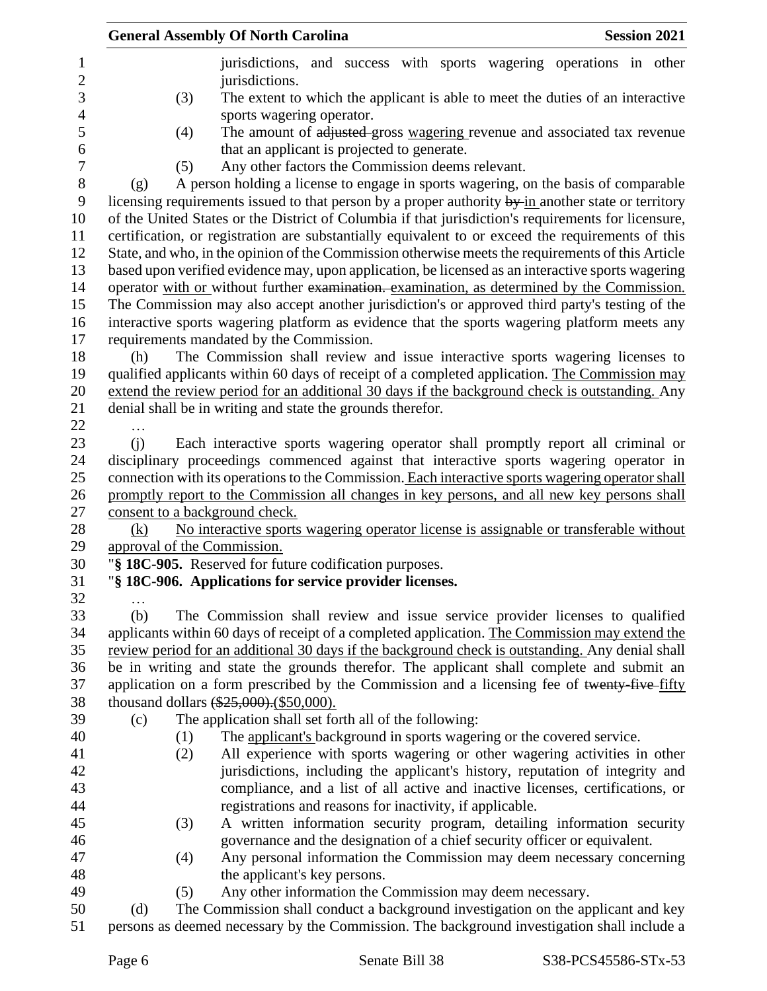|     | <b>General Assembly Of North Carolina</b>                                                           | <b>Session 2021</b> |
|-----|-----------------------------------------------------------------------------------------------------|---------------------|
|     | jurisdictions, and success with sports wagering operations in other                                 |                     |
|     | jurisdictions.                                                                                      |                     |
|     | (3)<br>The extent to which the applicant is able to meet the duties of an interactive               |                     |
|     | sports wagering operator.                                                                           |                     |
|     | The amount of adjusted gross wagering revenue and associated tax revenue<br>(4)                     |                     |
|     | that an applicant is projected to generate.                                                         |                     |
|     | Any other factors the Commission deems relevant.<br>(5)                                             |                     |
| (g) | A person holding a license to engage in sports wagering, on the basis of comparable                 |                     |
|     | licensing requirements issued to that person by a proper authority by in another state or territory |                     |
|     | of the United States or the District of Columbia if that jurisdiction's requirements for licensure, |                     |
|     | certification, or registration are substantially equivalent to or exceed the requirements of this   |                     |
|     | State, and who, in the opinion of the Commission otherwise meets the requirements of this Article   |                     |
|     | based upon verified evidence may, upon application, be licensed as an interactive sports wagering   |                     |
|     | operator with or without further examination. examination, as determined by the Commission.         |                     |
|     | The Commission may also accept another jurisdiction's or approved third party's testing of the      |                     |
|     | interactive sports wagering platform as evidence that the sports wagering platform meets any        |                     |
|     | requirements mandated by the Commission.                                                            |                     |
| (h) | The Commission shall review and issue interactive sports wagering licenses to                       |                     |
|     | qualified applicants within 60 days of receipt of a completed application. The Commission may       |                     |
|     | extend the review period for an additional 30 days if the background check is outstanding. Any      |                     |
|     | denial shall be in writing and state the grounds therefor.                                          |                     |
|     |                                                                                                     |                     |
| (i) | Each interactive sports wagering operator shall promptly report all criminal or                     |                     |
|     | disciplinary proceedings commenced against that interactive sports wagering operator in             |                     |
|     | connection with its operations to the Commission. Each interactive sports wagering operator shall   |                     |
|     | promptly report to the Commission all changes in key persons, and all new key persons shall         |                     |
|     | consent to a background check.                                                                      |                     |
| (k) | No interactive sports wagering operator license is assignable or transferable without               |                     |
|     | approval of the Commission.                                                                         |                     |
|     | "§ 18C-905. Reserved for future codification purposes.                                              |                     |
|     | "§ 18C-906. Applications for service provider licenses.                                             |                     |
| .   |                                                                                                     |                     |
| (b) | The Commission shall review and issue service provider licenses to qualified                        |                     |
|     | applicants within 60 days of receipt of a completed application. The Commission may extend the      |                     |
|     | review period for an additional 30 days if the background check is outstanding. Any denial shall    |                     |
|     | be in writing and state the grounds therefor. The applicant shall complete and submit an            |                     |
|     | application on a form prescribed by the Commission and a licensing fee of twenty-five-fifty         |                     |
|     | thousand dollars (\$25,000). (\$50,000).                                                            |                     |
| (c) | The application shall set forth all of the following:                                               |                     |
|     | The applicant's background in sports wagering or the covered service.<br>(1)                        |                     |
|     | All experience with sports wagering or other wagering activities in other<br>(2)                    |                     |
|     | jurisdictions, including the applicant's history, reputation of integrity and                       |                     |
|     | compliance, and a list of all active and inactive licenses, certifications, or                      |                     |
|     | registrations and reasons for inactivity, if applicable.                                            |                     |
|     | A written information security program, detailing information security<br>(3)                       |                     |
|     | governance and the designation of a chief security officer or equivalent.                           |                     |
|     | Any personal information the Commission may deem necessary concerning<br>(4)                        |                     |
|     | the applicant's key persons.                                                                        |                     |
|     | Any other information the Commission may deem necessary.<br>(5)                                     |                     |
| (d) | The Commission shall conduct a background investigation on the applicant and key                    |                     |
|     | persons as deemed necessary by the Commission. The background investigation shall include a         |                     |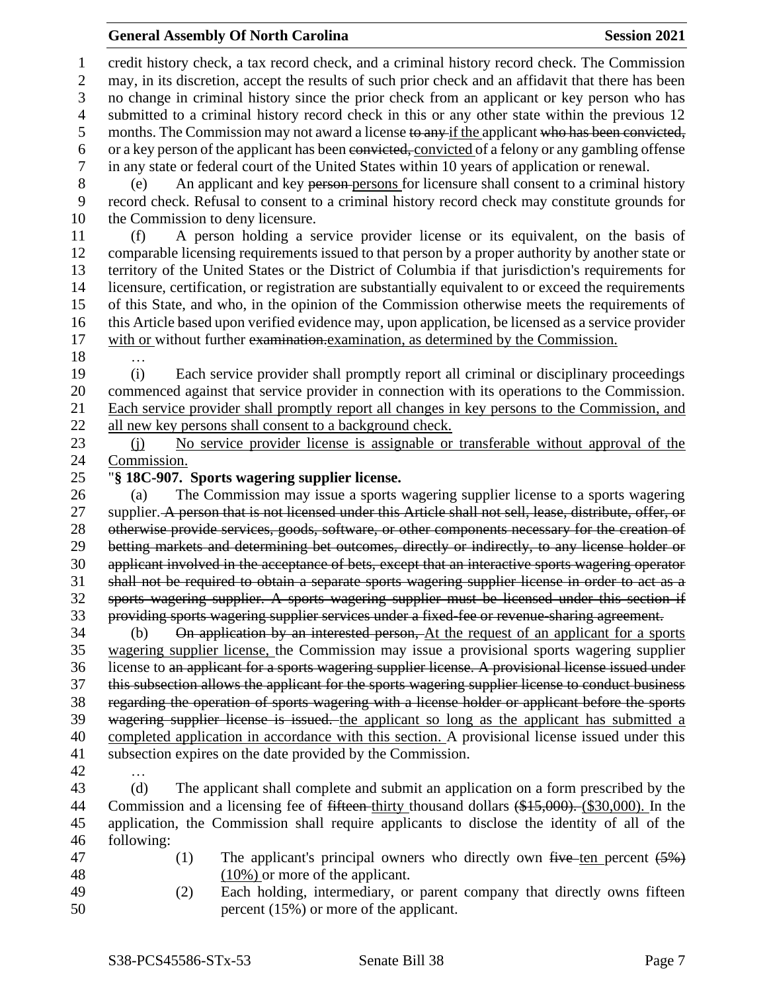## **General Assembly Of North Carolina Session 2021**

 credit history check, a tax record check, and a criminal history record check. The Commission may, in its discretion, accept the results of such prior check and an affidavit that there has been no change in criminal history since the prior check from an applicant or key person who has submitted to a criminal history record check in this or any other state within the previous 12 5 months. The Commission may not award a license to any if the applicant who has been convicted, or a key person of the applicant has been convicted, convicted of a felony or any gambling offense in any state or federal court of the United States within 10 years of application or renewal. (e) An applicant and key person persons for licensure shall consent to a criminal history record check. Refusal to consent to a criminal history record check may constitute grounds for the Commission to deny licensure. (f) A person holding a service provider license or its equivalent, on the basis of comparable licensing requirements issued to that person by a proper authority by another state or territory of the United States or the District of Columbia if that jurisdiction's requirements for licensure, certification, or registration are substantially equivalent to or exceed the requirements of this State, and who, in the opinion of the Commission otherwise meets the requirements of this Article based upon verified evidence may, upon application, be licensed as a service provider 17 with or without further examination-examination, as determined by the Commission. … (i) Each service provider shall promptly report all criminal or disciplinary proceedings commenced against that service provider in connection with its operations to the Commission. Each service provider shall promptly report all changes in key persons to the Commission, and all new key persons shall consent to a background check. (j) No service provider license is assignable or transferable without approval of the Commission. "**§ 18C-907. Sports wagering supplier license.** (a) The Commission may issue a sports wagering supplier license to a sports wagering 27 supplier. A person that is not licensed under this Article shall not sell, lease, distribute, offer, or otherwise provide services, goods, software, or other components necessary for the creation of betting markets and determining bet outcomes, directly or indirectly, to any license holder or applicant involved in the acceptance of bets, except that an interactive sports wagering operator shall not be required to obtain a separate sports wagering supplier license in order to act as a sports wagering supplier. A sports wagering supplier must be licensed under this section if providing sports wagering supplier services under a fixed-fee or revenue-sharing agreement. (b) On application by an interested person, At the request of an applicant for a sports wagering supplier license, the Commission may issue a provisional sports wagering supplier license to an applicant for a sports wagering supplier license. A provisional license issued under this subsection allows the applicant for the sports wagering supplier license to conduct business regarding the operation of sports wagering with a license holder or applicant before the sports 39 wagering supplier license is issued, the applicant so long as the applicant has submitted a completed application in accordance with this section. A provisional license issued under this subsection expires on the date provided by the Commission. … (d) The applicant shall complete and submit an application on a form prescribed by the 44 Commission and a licensing fee of <del>fifteen t</del>hirty thousand dollars (\$15,000). (\$30,000). In the application, the Commission shall require applicants to disclose the identity of all of the following: 47 (1) The applicant's principal owners who directly own  $f^2$  five ten percent  $(5\%)$  (10%) or more of the applicant. (2) Each holding, intermediary, or parent company that directly owns fifteen percent (15%) or more of the applicant.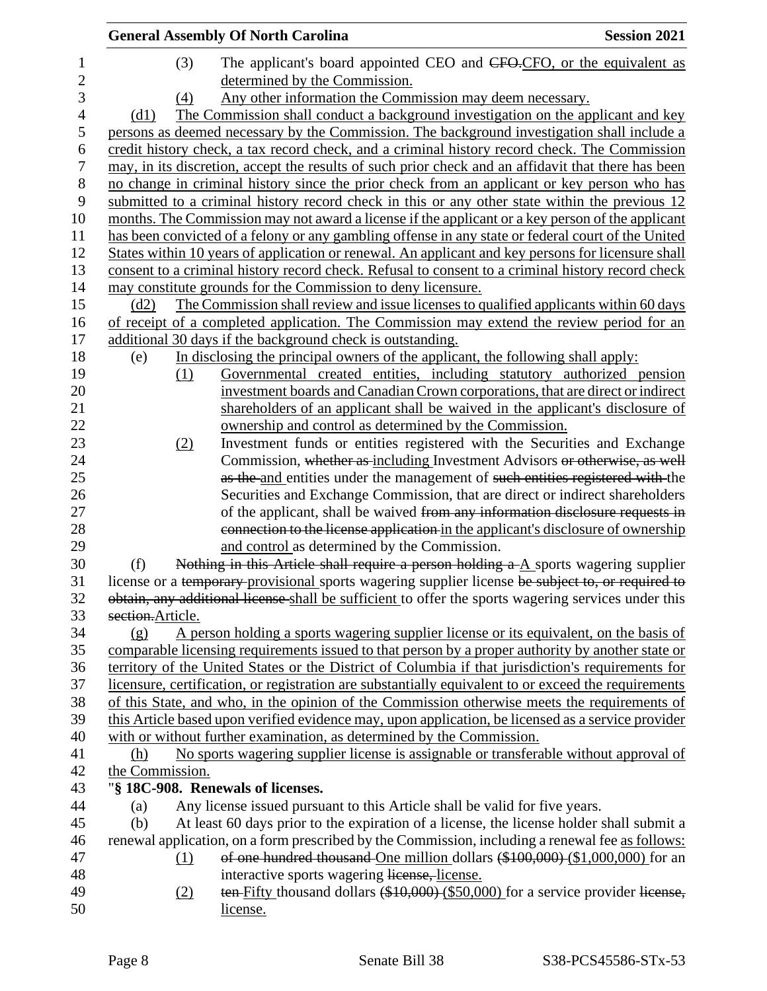| (3)<br>The applicant's board appointed CEO and CFO-CFO, or the equivalent as<br>$\mathbf{1}$<br>$\overline{c}$<br>determined by the Commission.<br>3<br>Any other information the Commission may deem necessary.<br>(4)<br>The Commission shall conduct a background investigation on the applicant and key<br>$\overline{4}$<br>(d1)<br>$\mathfrak s$<br>persons as deemed necessary by the Commission. The background investigation shall include a<br>6<br>credit history check, a tax record check, and a criminal history record check. The Commission<br>7<br>may, in its discretion, accept the results of such prior check and an affidavit that there has been<br>$8\,$<br>no change in criminal history since the prior check from an applicant or key person who has<br>9<br>submitted to a criminal history record check in this or any other state within the previous 12<br>10<br>months. The Commission may not award a license if the applicant or a key person of the applicant<br>11<br>has been convicted of a felony or any gambling offense in any state or federal court of the United<br>States within 10 years of application or renewal. An applicant and key persons for licensure shall<br>12<br>13<br>consent to a criminal history record check. Refusal to consent to a criminal history record check<br>14<br>may constitute grounds for the Commission to deny licensure.<br>15<br>The Commission shall review and issue licenses to qualified applicants within 60 days<br>(d2)<br>16<br>of receipt of a completed application. The Commission may extend the review period for an<br>additional 30 days if the background check is outstanding.<br>17<br>18<br>In disclosing the principal owners of the applicant, the following shall apply:<br>(e)<br>19<br>Governmental created entities, including statutory authorized pension<br>(1)<br>20<br>investment boards and Canadian Crown corporations, that are direct or indirect<br>21<br>shareholders of an applicant shall be waived in the applicant's disclosure of<br>22<br>ownership and control as determined by the Commission.<br>Investment funds or entities registered with the Securities and Exchange<br>23<br>(2)<br>24<br>Commission, whether as including Investment Advisors or otherwise, as well<br>25<br>as the and entities under the management of such entities registered with the<br>26<br>Securities and Exchange Commission, that are direct or indirect shareholders<br>27<br>of the applicant, shall be waived from any information disclosure requests in<br>28<br>connection to the license application in the applicant's disclosure of ownership<br>29<br>and control as determined by the Commission.<br>30<br>Nothing in this Article shall require a person holding a A sports wagering supplier<br>(f)<br>31<br>license or a temporary provisional sports wagering supplier license be subject to, or required to<br>obtain, any additional license shall be sufficient to offer the sports wagering services under this<br>32<br>33<br>section.Article.<br>34<br>A person holding a sports wagering supplier license or its equivalent, on the basis of<br>(g)<br>35<br>comparable licensing requirements issued to that person by a proper authority by another state or<br>territory of the United States or the District of Columbia if that jurisdiction's requirements for<br>36<br>37<br>licensure, certification, or registration are substantially equivalent to or exceed the requirements<br>of this State, and who, in the opinion of the Commission otherwise meets the requirements of<br>39<br>this Article based upon verified evidence may, upon application, be licensed as a service provider<br>with or without further examination, as determined by the Commission.<br>No sports wagering supplier license is assignable or transferable without approval of<br>41<br>(h)<br>42<br>the Commission.<br>"§ 18C-908. Renewals of licenses.<br>43<br>44<br>Any license issued pursuant to this Article shall be valid for five years.<br>(a)<br>At least 60 days prior to the expiration of a license, the license holder shall submit a<br>45<br>(b)<br>renewal application, on a form prescribed by the Commission, including a renewal fee as follows:<br>46<br>of one hundred thousand One million dollars (\$100,000) (\$1,000,000) for an<br>47<br>$\Omega$<br>48<br>interactive sports wagering license, license.<br>49<br>ten-Fifty thousand dollars (\$10,000) (\$50,000) for a service provider license,<br>(2)<br>50<br>license. |  | <b>General Assembly Of North Carolina</b> | <b>Session 2021</b> |
|------------------------------------------------------------------------------------------------------------------------------------------------------------------------------------------------------------------------------------------------------------------------------------------------------------------------------------------------------------------------------------------------------------------------------------------------------------------------------------------------------------------------------------------------------------------------------------------------------------------------------------------------------------------------------------------------------------------------------------------------------------------------------------------------------------------------------------------------------------------------------------------------------------------------------------------------------------------------------------------------------------------------------------------------------------------------------------------------------------------------------------------------------------------------------------------------------------------------------------------------------------------------------------------------------------------------------------------------------------------------------------------------------------------------------------------------------------------------------------------------------------------------------------------------------------------------------------------------------------------------------------------------------------------------------------------------------------------------------------------------------------------------------------------------------------------------------------------------------------------------------------------------------------------------------------------------------------------------------------------------------------------------------------------------------------------------------------------------------------------------------------------------------------------------------------------------------------------------------------------------------------------------------------------------------------------------------------------------------------------------------------------------------------------------------------------------------------------------------------------------------------------------------------------------------------------------------------------------------------------------------------------------------------------------------------------------------------------------------------------------------------------------------------------------------------------------------------------------------------------------------------------------------------------------------------------------------------------------------------------------------------------------------------------------------------------------------------------------------------------------------------------------------------------------------------------------------------------------------------------------------------------------------------------------------------------------------------------------------------------------------------------------------------------------------------------------------------------------------------------------------------------------------------------------------------------------------------------------------------------------------------------------------------------------------------------------------------------------------------------------------------------------------------------------------------------------------------------------------------------------------------------------------------------------------------------------------------------------------------------------------------------------------------------------------------------------------------------------------------------------------------------------------------------------------------------------------------------------------------------------------------------------------------------------------------------------------------------------------------------------------------------------------------------------------------------------------------------------------------------------------------------------------------------------------------------------------------------|--|-------------------------------------------|---------------------|
|                                                                                                                                                                                                                                                                                                                                                                                                                                                                                                                                                                                                                                                                                                                                                                                                                                                                                                                                                                                                                                                                                                                                                                                                                                                                                                                                                                                                                                                                                                                                                                                                                                                                                                                                                                                                                                                                                                                                                                                                                                                                                                                                                                                                                                                                                                                                                                                                                                                                                                                                                                                                                                                                                                                                                                                                                                                                                                                                                                                                                                                                                                                                                                                                                                                                                                                                                                                                                                                                                                                                                                                                                                                                                                                                                                                                                                                                                                                                                                                                                                                                                                                                                                                                                                                                                                                                                                                                                                                                                                                                                                                          |  |                                           |                     |
|                                                                                                                                                                                                                                                                                                                                                                                                                                                                                                                                                                                                                                                                                                                                                                                                                                                                                                                                                                                                                                                                                                                                                                                                                                                                                                                                                                                                                                                                                                                                                                                                                                                                                                                                                                                                                                                                                                                                                                                                                                                                                                                                                                                                                                                                                                                                                                                                                                                                                                                                                                                                                                                                                                                                                                                                                                                                                                                                                                                                                                                                                                                                                                                                                                                                                                                                                                                                                                                                                                                                                                                                                                                                                                                                                                                                                                                                                                                                                                                                                                                                                                                                                                                                                                                                                                                                                                                                                                                                                                                                                                                          |  |                                           |                     |
|                                                                                                                                                                                                                                                                                                                                                                                                                                                                                                                                                                                                                                                                                                                                                                                                                                                                                                                                                                                                                                                                                                                                                                                                                                                                                                                                                                                                                                                                                                                                                                                                                                                                                                                                                                                                                                                                                                                                                                                                                                                                                                                                                                                                                                                                                                                                                                                                                                                                                                                                                                                                                                                                                                                                                                                                                                                                                                                                                                                                                                                                                                                                                                                                                                                                                                                                                                                                                                                                                                                                                                                                                                                                                                                                                                                                                                                                                                                                                                                                                                                                                                                                                                                                                                                                                                                                                                                                                                                                                                                                                                                          |  |                                           |                     |
|                                                                                                                                                                                                                                                                                                                                                                                                                                                                                                                                                                                                                                                                                                                                                                                                                                                                                                                                                                                                                                                                                                                                                                                                                                                                                                                                                                                                                                                                                                                                                                                                                                                                                                                                                                                                                                                                                                                                                                                                                                                                                                                                                                                                                                                                                                                                                                                                                                                                                                                                                                                                                                                                                                                                                                                                                                                                                                                                                                                                                                                                                                                                                                                                                                                                                                                                                                                                                                                                                                                                                                                                                                                                                                                                                                                                                                                                                                                                                                                                                                                                                                                                                                                                                                                                                                                                                                                                                                                                                                                                                                                          |  |                                           |                     |
|                                                                                                                                                                                                                                                                                                                                                                                                                                                                                                                                                                                                                                                                                                                                                                                                                                                                                                                                                                                                                                                                                                                                                                                                                                                                                                                                                                                                                                                                                                                                                                                                                                                                                                                                                                                                                                                                                                                                                                                                                                                                                                                                                                                                                                                                                                                                                                                                                                                                                                                                                                                                                                                                                                                                                                                                                                                                                                                                                                                                                                                                                                                                                                                                                                                                                                                                                                                                                                                                                                                                                                                                                                                                                                                                                                                                                                                                                                                                                                                                                                                                                                                                                                                                                                                                                                                                                                                                                                                                                                                                                                                          |  |                                           |                     |
|                                                                                                                                                                                                                                                                                                                                                                                                                                                                                                                                                                                                                                                                                                                                                                                                                                                                                                                                                                                                                                                                                                                                                                                                                                                                                                                                                                                                                                                                                                                                                                                                                                                                                                                                                                                                                                                                                                                                                                                                                                                                                                                                                                                                                                                                                                                                                                                                                                                                                                                                                                                                                                                                                                                                                                                                                                                                                                                                                                                                                                                                                                                                                                                                                                                                                                                                                                                                                                                                                                                                                                                                                                                                                                                                                                                                                                                                                                                                                                                                                                                                                                                                                                                                                                                                                                                                                                                                                                                                                                                                                                                          |  |                                           |                     |
|                                                                                                                                                                                                                                                                                                                                                                                                                                                                                                                                                                                                                                                                                                                                                                                                                                                                                                                                                                                                                                                                                                                                                                                                                                                                                                                                                                                                                                                                                                                                                                                                                                                                                                                                                                                                                                                                                                                                                                                                                                                                                                                                                                                                                                                                                                                                                                                                                                                                                                                                                                                                                                                                                                                                                                                                                                                                                                                                                                                                                                                                                                                                                                                                                                                                                                                                                                                                                                                                                                                                                                                                                                                                                                                                                                                                                                                                                                                                                                                                                                                                                                                                                                                                                                                                                                                                                                                                                                                                                                                                                                                          |  |                                           |                     |
|                                                                                                                                                                                                                                                                                                                                                                                                                                                                                                                                                                                                                                                                                                                                                                                                                                                                                                                                                                                                                                                                                                                                                                                                                                                                                                                                                                                                                                                                                                                                                                                                                                                                                                                                                                                                                                                                                                                                                                                                                                                                                                                                                                                                                                                                                                                                                                                                                                                                                                                                                                                                                                                                                                                                                                                                                                                                                                                                                                                                                                                                                                                                                                                                                                                                                                                                                                                                                                                                                                                                                                                                                                                                                                                                                                                                                                                                                                                                                                                                                                                                                                                                                                                                                                                                                                                                                                                                                                                                                                                                                                                          |  |                                           |                     |
|                                                                                                                                                                                                                                                                                                                                                                                                                                                                                                                                                                                                                                                                                                                                                                                                                                                                                                                                                                                                                                                                                                                                                                                                                                                                                                                                                                                                                                                                                                                                                                                                                                                                                                                                                                                                                                                                                                                                                                                                                                                                                                                                                                                                                                                                                                                                                                                                                                                                                                                                                                                                                                                                                                                                                                                                                                                                                                                                                                                                                                                                                                                                                                                                                                                                                                                                                                                                                                                                                                                                                                                                                                                                                                                                                                                                                                                                                                                                                                                                                                                                                                                                                                                                                                                                                                                                                                                                                                                                                                                                                                                          |  |                                           |                     |
|                                                                                                                                                                                                                                                                                                                                                                                                                                                                                                                                                                                                                                                                                                                                                                                                                                                                                                                                                                                                                                                                                                                                                                                                                                                                                                                                                                                                                                                                                                                                                                                                                                                                                                                                                                                                                                                                                                                                                                                                                                                                                                                                                                                                                                                                                                                                                                                                                                                                                                                                                                                                                                                                                                                                                                                                                                                                                                                                                                                                                                                                                                                                                                                                                                                                                                                                                                                                                                                                                                                                                                                                                                                                                                                                                                                                                                                                                                                                                                                                                                                                                                                                                                                                                                                                                                                                                                                                                                                                                                                                                                                          |  |                                           |                     |
|                                                                                                                                                                                                                                                                                                                                                                                                                                                                                                                                                                                                                                                                                                                                                                                                                                                                                                                                                                                                                                                                                                                                                                                                                                                                                                                                                                                                                                                                                                                                                                                                                                                                                                                                                                                                                                                                                                                                                                                                                                                                                                                                                                                                                                                                                                                                                                                                                                                                                                                                                                                                                                                                                                                                                                                                                                                                                                                                                                                                                                                                                                                                                                                                                                                                                                                                                                                                                                                                                                                                                                                                                                                                                                                                                                                                                                                                                                                                                                                                                                                                                                                                                                                                                                                                                                                                                                                                                                                                                                                                                                                          |  |                                           |                     |
|                                                                                                                                                                                                                                                                                                                                                                                                                                                                                                                                                                                                                                                                                                                                                                                                                                                                                                                                                                                                                                                                                                                                                                                                                                                                                                                                                                                                                                                                                                                                                                                                                                                                                                                                                                                                                                                                                                                                                                                                                                                                                                                                                                                                                                                                                                                                                                                                                                                                                                                                                                                                                                                                                                                                                                                                                                                                                                                                                                                                                                                                                                                                                                                                                                                                                                                                                                                                                                                                                                                                                                                                                                                                                                                                                                                                                                                                                                                                                                                                                                                                                                                                                                                                                                                                                                                                                                                                                                                                                                                                                                                          |  |                                           |                     |
|                                                                                                                                                                                                                                                                                                                                                                                                                                                                                                                                                                                                                                                                                                                                                                                                                                                                                                                                                                                                                                                                                                                                                                                                                                                                                                                                                                                                                                                                                                                                                                                                                                                                                                                                                                                                                                                                                                                                                                                                                                                                                                                                                                                                                                                                                                                                                                                                                                                                                                                                                                                                                                                                                                                                                                                                                                                                                                                                                                                                                                                                                                                                                                                                                                                                                                                                                                                                                                                                                                                                                                                                                                                                                                                                                                                                                                                                                                                                                                                                                                                                                                                                                                                                                                                                                                                                                                                                                                                                                                                                                                                          |  |                                           |                     |
|                                                                                                                                                                                                                                                                                                                                                                                                                                                                                                                                                                                                                                                                                                                                                                                                                                                                                                                                                                                                                                                                                                                                                                                                                                                                                                                                                                                                                                                                                                                                                                                                                                                                                                                                                                                                                                                                                                                                                                                                                                                                                                                                                                                                                                                                                                                                                                                                                                                                                                                                                                                                                                                                                                                                                                                                                                                                                                                                                                                                                                                                                                                                                                                                                                                                                                                                                                                                                                                                                                                                                                                                                                                                                                                                                                                                                                                                                                                                                                                                                                                                                                                                                                                                                                                                                                                                                                                                                                                                                                                                                                                          |  |                                           |                     |
|                                                                                                                                                                                                                                                                                                                                                                                                                                                                                                                                                                                                                                                                                                                                                                                                                                                                                                                                                                                                                                                                                                                                                                                                                                                                                                                                                                                                                                                                                                                                                                                                                                                                                                                                                                                                                                                                                                                                                                                                                                                                                                                                                                                                                                                                                                                                                                                                                                                                                                                                                                                                                                                                                                                                                                                                                                                                                                                                                                                                                                                                                                                                                                                                                                                                                                                                                                                                                                                                                                                                                                                                                                                                                                                                                                                                                                                                                                                                                                                                                                                                                                                                                                                                                                                                                                                                                                                                                                                                                                                                                                                          |  |                                           |                     |
|                                                                                                                                                                                                                                                                                                                                                                                                                                                                                                                                                                                                                                                                                                                                                                                                                                                                                                                                                                                                                                                                                                                                                                                                                                                                                                                                                                                                                                                                                                                                                                                                                                                                                                                                                                                                                                                                                                                                                                                                                                                                                                                                                                                                                                                                                                                                                                                                                                                                                                                                                                                                                                                                                                                                                                                                                                                                                                                                                                                                                                                                                                                                                                                                                                                                                                                                                                                                                                                                                                                                                                                                                                                                                                                                                                                                                                                                                                                                                                                                                                                                                                                                                                                                                                                                                                                                                                                                                                                                                                                                                                                          |  |                                           |                     |
|                                                                                                                                                                                                                                                                                                                                                                                                                                                                                                                                                                                                                                                                                                                                                                                                                                                                                                                                                                                                                                                                                                                                                                                                                                                                                                                                                                                                                                                                                                                                                                                                                                                                                                                                                                                                                                                                                                                                                                                                                                                                                                                                                                                                                                                                                                                                                                                                                                                                                                                                                                                                                                                                                                                                                                                                                                                                                                                                                                                                                                                                                                                                                                                                                                                                                                                                                                                                                                                                                                                                                                                                                                                                                                                                                                                                                                                                                                                                                                                                                                                                                                                                                                                                                                                                                                                                                                                                                                                                                                                                                                                          |  |                                           |                     |
|                                                                                                                                                                                                                                                                                                                                                                                                                                                                                                                                                                                                                                                                                                                                                                                                                                                                                                                                                                                                                                                                                                                                                                                                                                                                                                                                                                                                                                                                                                                                                                                                                                                                                                                                                                                                                                                                                                                                                                                                                                                                                                                                                                                                                                                                                                                                                                                                                                                                                                                                                                                                                                                                                                                                                                                                                                                                                                                                                                                                                                                                                                                                                                                                                                                                                                                                                                                                                                                                                                                                                                                                                                                                                                                                                                                                                                                                                                                                                                                                                                                                                                                                                                                                                                                                                                                                                                                                                                                                                                                                                                                          |  |                                           |                     |
| 38<br>40                                                                                                                                                                                                                                                                                                                                                                                                                                                                                                                                                                                                                                                                                                                                                                                                                                                                                                                                                                                                                                                                                                                                                                                                                                                                                                                                                                                                                                                                                                                                                                                                                                                                                                                                                                                                                                                                                                                                                                                                                                                                                                                                                                                                                                                                                                                                                                                                                                                                                                                                                                                                                                                                                                                                                                                                                                                                                                                                                                                                                                                                                                                                                                                                                                                                                                                                                                                                                                                                                                                                                                                                                                                                                                                                                                                                                                                                                                                                                                                                                                                                                                                                                                                                                                                                                                                                                                                                                                                                                                                                                                                 |  |                                           |                     |
|                                                                                                                                                                                                                                                                                                                                                                                                                                                                                                                                                                                                                                                                                                                                                                                                                                                                                                                                                                                                                                                                                                                                                                                                                                                                                                                                                                                                                                                                                                                                                                                                                                                                                                                                                                                                                                                                                                                                                                                                                                                                                                                                                                                                                                                                                                                                                                                                                                                                                                                                                                                                                                                                                                                                                                                                                                                                                                                                                                                                                                                                                                                                                                                                                                                                                                                                                                                                                                                                                                                                                                                                                                                                                                                                                                                                                                                                                                                                                                                                                                                                                                                                                                                                                                                                                                                                                                                                                                                                                                                                                                                          |  |                                           |                     |
|                                                                                                                                                                                                                                                                                                                                                                                                                                                                                                                                                                                                                                                                                                                                                                                                                                                                                                                                                                                                                                                                                                                                                                                                                                                                                                                                                                                                                                                                                                                                                                                                                                                                                                                                                                                                                                                                                                                                                                                                                                                                                                                                                                                                                                                                                                                                                                                                                                                                                                                                                                                                                                                                                                                                                                                                                                                                                                                                                                                                                                                                                                                                                                                                                                                                                                                                                                                                                                                                                                                                                                                                                                                                                                                                                                                                                                                                                                                                                                                                                                                                                                                                                                                                                                                                                                                                                                                                                                                                                                                                                                                          |  |                                           |                     |
|                                                                                                                                                                                                                                                                                                                                                                                                                                                                                                                                                                                                                                                                                                                                                                                                                                                                                                                                                                                                                                                                                                                                                                                                                                                                                                                                                                                                                                                                                                                                                                                                                                                                                                                                                                                                                                                                                                                                                                                                                                                                                                                                                                                                                                                                                                                                                                                                                                                                                                                                                                                                                                                                                                                                                                                                                                                                                                                                                                                                                                                                                                                                                                                                                                                                                                                                                                                                                                                                                                                                                                                                                                                                                                                                                                                                                                                                                                                                                                                                                                                                                                                                                                                                                                                                                                                                                                                                                                                                                                                                                                                          |  |                                           |                     |
|                                                                                                                                                                                                                                                                                                                                                                                                                                                                                                                                                                                                                                                                                                                                                                                                                                                                                                                                                                                                                                                                                                                                                                                                                                                                                                                                                                                                                                                                                                                                                                                                                                                                                                                                                                                                                                                                                                                                                                                                                                                                                                                                                                                                                                                                                                                                                                                                                                                                                                                                                                                                                                                                                                                                                                                                                                                                                                                                                                                                                                                                                                                                                                                                                                                                                                                                                                                                                                                                                                                                                                                                                                                                                                                                                                                                                                                                                                                                                                                                                                                                                                                                                                                                                                                                                                                                                                                                                                                                                                                                                                                          |  |                                           |                     |
|                                                                                                                                                                                                                                                                                                                                                                                                                                                                                                                                                                                                                                                                                                                                                                                                                                                                                                                                                                                                                                                                                                                                                                                                                                                                                                                                                                                                                                                                                                                                                                                                                                                                                                                                                                                                                                                                                                                                                                                                                                                                                                                                                                                                                                                                                                                                                                                                                                                                                                                                                                                                                                                                                                                                                                                                                                                                                                                                                                                                                                                                                                                                                                                                                                                                                                                                                                                                                                                                                                                                                                                                                                                                                                                                                                                                                                                                                                                                                                                                                                                                                                                                                                                                                                                                                                                                                                                                                                                                                                                                                                                          |  |                                           |                     |
|                                                                                                                                                                                                                                                                                                                                                                                                                                                                                                                                                                                                                                                                                                                                                                                                                                                                                                                                                                                                                                                                                                                                                                                                                                                                                                                                                                                                                                                                                                                                                                                                                                                                                                                                                                                                                                                                                                                                                                                                                                                                                                                                                                                                                                                                                                                                                                                                                                                                                                                                                                                                                                                                                                                                                                                                                                                                                                                                                                                                                                                                                                                                                                                                                                                                                                                                                                                                                                                                                                                                                                                                                                                                                                                                                                                                                                                                                                                                                                                                                                                                                                                                                                                                                                                                                                                                                                                                                                                                                                                                                                                          |  |                                           |                     |
|                                                                                                                                                                                                                                                                                                                                                                                                                                                                                                                                                                                                                                                                                                                                                                                                                                                                                                                                                                                                                                                                                                                                                                                                                                                                                                                                                                                                                                                                                                                                                                                                                                                                                                                                                                                                                                                                                                                                                                                                                                                                                                                                                                                                                                                                                                                                                                                                                                                                                                                                                                                                                                                                                                                                                                                                                                                                                                                                                                                                                                                                                                                                                                                                                                                                                                                                                                                                                                                                                                                                                                                                                                                                                                                                                                                                                                                                                                                                                                                                                                                                                                                                                                                                                                                                                                                                                                                                                                                                                                                                                                                          |  |                                           |                     |
|                                                                                                                                                                                                                                                                                                                                                                                                                                                                                                                                                                                                                                                                                                                                                                                                                                                                                                                                                                                                                                                                                                                                                                                                                                                                                                                                                                                                                                                                                                                                                                                                                                                                                                                                                                                                                                                                                                                                                                                                                                                                                                                                                                                                                                                                                                                                                                                                                                                                                                                                                                                                                                                                                                                                                                                                                                                                                                                                                                                                                                                                                                                                                                                                                                                                                                                                                                                                                                                                                                                                                                                                                                                                                                                                                                                                                                                                                                                                                                                                                                                                                                                                                                                                                                                                                                                                                                                                                                                                                                                                                                                          |  |                                           |                     |
|                                                                                                                                                                                                                                                                                                                                                                                                                                                                                                                                                                                                                                                                                                                                                                                                                                                                                                                                                                                                                                                                                                                                                                                                                                                                                                                                                                                                                                                                                                                                                                                                                                                                                                                                                                                                                                                                                                                                                                                                                                                                                                                                                                                                                                                                                                                                                                                                                                                                                                                                                                                                                                                                                                                                                                                                                                                                                                                                                                                                                                                                                                                                                                                                                                                                                                                                                                                                                                                                                                                                                                                                                                                                                                                                                                                                                                                                                                                                                                                                                                                                                                                                                                                                                                                                                                                                                                                                                                                                                                                                                                                          |  |                                           |                     |
|                                                                                                                                                                                                                                                                                                                                                                                                                                                                                                                                                                                                                                                                                                                                                                                                                                                                                                                                                                                                                                                                                                                                                                                                                                                                                                                                                                                                                                                                                                                                                                                                                                                                                                                                                                                                                                                                                                                                                                                                                                                                                                                                                                                                                                                                                                                                                                                                                                                                                                                                                                                                                                                                                                                                                                                                                                                                                                                                                                                                                                                                                                                                                                                                                                                                                                                                                                                                                                                                                                                                                                                                                                                                                                                                                                                                                                                                                                                                                                                                                                                                                                                                                                                                                                                                                                                                                                                                                                                                                                                                                                                          |  |                                           |                     |
|                                                                                                                                                                                                                                                                                                                                                                                                                                                                                                                                                                                                                                                                                                                                                                                                                                                                                                                                                                                                                                                                                                                                                                                                                                                                                                                                                                                                                                                                                                                                                                                                                                                                                                                                                                                                                                                                                                                                                                                                                                                                                                                                                                                                                                                                                                                                                                                                                                                                                                                                                                                                                                                                                                                                                                                                                                                                                                                                                                                                                                                                                                                                                                                                                                                                                                                                                                                                                                                                                                                                                                                                                                                                                                                                                                                                                                                                                                                                                                                                                                                                                                                                                                                                                                                                                                                                                                                                                                                                                                                                                                                          |  |                                           |                     |
|                                                                                                                                                                                                                                                                                                                                                                                                                                                                                                                                                                                                                                                                                                                                                                                                                                                                                                                                                                                                                                                                                                                                                                                                                                                                                                                                                                                                                                                                                                                                                                                                                                                                                                                                                                                                                                                                                                                                                                                                                                                                                                                                                                                                                                                                                                                                                                                                                                                                                                                                                                                                                                                                                                                                                                                                                                                                                                                                                                                                                                                                                                                                                                                                                                                                                                                                                                                                                                                                                                                                                                                                                                                                                                                                                                                                                                                                                                                                                                                                                                                                                                                                                                                                                                                                                                                                                                                                                                                                                                                                                                                          |  |                                           |                     |
|                                                                                                                                                                                                                                                                                                                                                                                                                                                                                                                                                                                                                                                                                                                                                                                                                                                                                                                                                                                                                                                                                                                                                                                                                                                                                                                                                                                                                                                                                                                                                                                                                                                                                                                                                                                                                                                                                                                                                                                                                                                                                                                                                                                                                                                                                                                                                                                                                                                                                                                                                                                                                                                                                                                                                                                                                                                                                                                                                                                                                                                                                                                                                                                                                                                                                                                                                                                                                                                                                                                                                                                                                                                                                                                                                                                                                                                                                                                                                                                                                                                                                                                                                                                                                                                                                                                                                                                                                                                                                                                                                                                          |  |                                           |                     |
|                                                                                                                                                                                                                                                                                                                                                                                                                                                                                                                                                                                                                                                                                                                                                                                                                                                                                                                                                                                                                                                                                                                                                                                                                                                                                                                                                                                                                                                                                                                                                                                                                                                                                                                                                                                                                                                                                                                                                                                                                                                                                                                                                                                                                                                                                                                                                                                                                                                                                                                                                                                                                                                                                                                                                                                                                                                                                                                                                                                                                                                                                                                                                                                                                                                                                                                                                                                                                                                                                                                                                                                                                                                                                                                                                                                                                                                                                                                                                                                                                                                                                                                                                                                                                                                                                                                                                                                                                                                                                                                                                                                          |  |                                           |                     |
|                                                                                                                                                                                                                                                                                                                                                                                                                                                                                                                                                                                                                                                                                                                                                                                                                                                                                                                                                                                                                                                                                                                                                                                                                                                                                                                                                                                                                                                                                                                                                                                                                                                                                                                                                                                                                                                                                                                                                                                                                                                                                                                                                                                                                                                                                                                                                                                                                                                                                                                                                                                                                                                                                                                                                                                                                                                                                                                                                                                                                                                                                                                                                                                                                                                                                                                                                                                                                                                                                                                                                                                                                                                                                                                                                                                                                                                                                                                                                                                                                                                                                                                                                                                                                                                                                                                                                                                                                                                                                                                                                                                          |  |                                           |                     |
|                                                                                                                                                                                                                                                                                                                                                                                                                                                                                                                                                                                                                                                                                                                                                                                                                                                                                                                                                                                                                                                                                                                                                                                                                                                                                                                                                                                                                                                                                                                                                                                                                                                                                                                                                                                                                                                                                                                                                                                                                                                                                                                                                                                                                                                                                                                                                                                                                                                                                                                                                                                                                                                                                                                                                                                                                                                                                                                                                                                                                                                                                                                                                                                                                                                                                                                                                                                                                                                                                                                                                                                                                                                                                                                                                                                                                                                                                                                                                                                                                                                                                                                                                                                                                                                                                                                                                                                                                                                                                                                                                                                          |  |                                           |                     |
|                                                                                                                                                                                                                                                                                                                                                                                                                                                                                                                                                                                                                                                                                                                                                                                                                                                                                                                                                                                                                                                                                                                                                                                                                                                                                                                                                                                                                                                                                                                                                                                                                                                                                                                                                                                                                                                                                                                                                                                                                                                                                                                                                                                                                                                                                                                                                                                                                                                                                                                                                                                                                                                                                                                                                                                                                                                                                                                                                                                                                                                                                                                                                                                                                                                                                                                                                                                                                                                                                                                                                                                                                                                                                                                                                                                                                                                                                                                                                                                                                                                                                                                                                                                                                                                                                                                                                                                                                                                                                                                                                                                          |  |                                           |                     |
|                                                                                                                                                                                                                                                                                                                                                                                                                                                                                                                                                                                                                                                                                                                                                                                                                                                                                                                                                                                                                                                                                                                                                                                                                                                                                                                                                                                                                                                                                                                                                                                                                                                                                                                                                                                                                                                                                                                                                                                                                                                                                                                                                                                                                                                                                                                                                                                                                                                                                                                                                                                                                                                                                                                                                                                                                                                                                                                                                                                                                                                                                                                                                                                                                                                                                                                                                                                                                                                                                                                                                                                                                                                                                                                                                                                                                                                                                                                                                                                                                                                                                                                                                                                                                                                                                                                                                                                                                                                                                                                                                                                          |  |                                           |                     |
|                                                                                                                                                                                                                                                                                                                                                                                                                                                                                                                                                                                                                                                                                                                                                                                                                                                                                                                                                                                                                                                                                                                                                                                                                                                                                                                                                                                                                                                                                                                                                                                                                                                                                                                                                                                                                                                                                                                                                                                                                                                                                                                                                                                                                                                                                                                                                                                                                                                                                                                                                                                                                                                                                                                                                                                                                                                                                                                                                                                                                                                                                                                                                                                                                                                                                                                                                                                                                                                                                                                                                                                                                                                                                                                                                                                                                                                                                                                                                                                                                                                                                                                                                                                                                                                                                                                                                                                                                                                                                                                                                                                          |  |                                           |                     |
|                                                                                                                                                                                                                                                                                                                                                                                                                                                                                                                                                                                                                                                                                                                                                                                                                                                                                                                                                                                                                                                                                                                                                                                                                                                                                                                                                                                                                                                                                                                                                                                                                                                                                                                                                                                                                                                                                                                                                                                                                                                                                                                                                                                                                                                                                                                                                                                                                                                                                                                                                                                                                                                                                                                                                                                                                                                                                                                                                                                                                                                                                                                                                                                                                                                                                                                                                                                                                                                                                                                                                                                                                                                                                                                                                                                                                                                                                                                                                                                                                                                                                                                                                                                                                                                                                                                                                                                                                                                                                                                                                                                          |  |                                           |                     |
|                                                                                                                                                                                                                                                                                                                                                                                                                                                                                                                                                                                                                                                                                                                                                                                                                                                                                                                                                                                                                                                                                                                                                                                                                                                                                                                                                                                                                                                                                                                                                                                                                                                                                                                                                                                                                                                                                                                                                                                                                                                                                                                                                                                                                                                                                                                                                                                                                                                                                                                                                                                                                                                                                                                                                                                                                                                                                                                                                                                                                                                                                                                                                                                                                                                                                                                                                                                                                                                                                                                                                                                                                                                                                                                                                                                                                                                                                                                                                                                                                                                                                                                                                                                                                                                                                                                                                                                                                                                                                                                                                                                          |  |                                           |                     |
|                                                                                                                                                                                                                                                                                                                                                                                                                                                                                                                                                                                                                                                                                                                                                                                                                                                                                                                                                                                                                                                                                                                                                                                                                                                                                                                                                                                                                                                                                                                                                                                                                                                                                                                                                                                                                                                                                                                                                                                                                                                                                                                                                                                                                                                                                                                                                                                                                                                                                                                                                                                                                                                                                                                                                                                                                                                                                                                                                                                                                                                                                                                                                                                                                                                                                                                                                                                                                                                                                                                                                                                                                                                                                                                                                                                                                                                                                                                                                                                                                                                                                                                                                                                                                                                                                                                                                                                                                                                                                                                                                                                          |  |                                           |                     |
|                                                                                                                                                                                                                                                                                                                                                                                                                                                                                                                                                                                                                                                                                                                                                                                                                                                                                                                                                                                                                                                                                                                                                                                                                                                                                                                                                                                                                                                                                                                                                                                                                                                                                                                                                                                                                                                                                                                                                                                                                                                                                                                                                                                                                                                                                                                                                                                                                                                                                                                                                                                                                                                                                                                                                                                                                                                                                                                                                                                                                                                                                                                                                                                                                                                                                                                                                                                                                                                                                                                                                                                                                                                                                                                                                                                                                                                                                                                                                                                                                                                                                                                                                                                                                                                                                                                                                                                                                                                                                                                                                                                          |  |                                           |                     |
|                                                                                                                                                                                                                                                                                                                                                                                                                                                                                                                                                                                                                                                                                                                                                                                                                                                                                                                                                                                                                                                                                                                                                                                                                                                                                                                                                                                                                                                                                                                                                                                                                                                                                                                                                                                                                                                                                                                                                                                                                                                                                                                                                                                                                                                                                                                                                                                                                                                                                                                                                                                                                                                                                                                                                                                                                                                                                                                                                                                                                                                                                                                                                                                                                                                                                                                                                                                                                                                                                                                                                                                                                                                                                                                                                                                                                                                                                                                                                                                                                                                                                                                                                                                                                                                                                                                                                                                                                                                                                                                                                                                          |  |                                           |                     |
|                                                                                                                                                                                                                                                                                                                                                                                                                                                                                                                                                                                                                                                                                                                                                                                                                                                                                                                                                                                                                                                                                                                                                                                                                                                                                                                                                                                                                                                                                                                                                                                                                                                                                                                                                                                                                                                                                                                                                                                                                                                                                                                                                                                                                                                                                                                                                                                                                                                                                                                                                                                                                                                                                                                                                                                                                                                                                                                                                                                                                                                                                                                                                                                                                                                                                                                                                                                                                                                                                                                                                                                                                                                                                                                                                                                                                                                                                                                                                                                                                                                                                                                                                                                                                                                                                                                                                                                                                                                                                                                                                                                          |  |                                           |                     |
|                                                                                                                                                                                                                                                                                                                                                                                                                                                                                                                                                                                                                                                                                                                                                                                                                                                                                                                                                                                                                                                                                                                                                                                                                                                                                                                                                                                                                                                                                                                                                                                                                                                                                                                                                                                                                                                                                                                                                                                                                                                                                                                                                                                                                                                                                                                                                                                                                                                                                                                                                                                                                                                                                                                                                                                                                                                                                                                                                                                                                                                                                                                                                                                                                                                                                                                                                                                                                                                                                                                                                                                                                                                                                                                                                                                                                                                                                                                                                                                                                                                                                                                                                                                                                                                                                                                                                                                                                                                                                                                                                                                          |  |                                           |                     |
|                                                                                                                                                                                                                                                                                                                                                                                                                                                                                                                                                                                                                                                                                                                                                                                                                                                                                                                                                                                                                                                                                                                                                                                                                                                                                                                                                                                                                                                                                                                                                                                                                                                                                                                                                                                                                                                                                                                                                                                                                                                                                                                                                                                                                                                                                                                                                                                                                                                                                                                                                                                                                                                                                                                                                                                                                                                                                                                                                                                                                                                                                                                                                                                                                                                                                                                                                                                                                                                                                                                                                                                                                                                                                                                                                                                                                                                                                                                                                                                                                                                                                                                                                                                                                                                                                                                                                                                                                                                                                                                                                                                          |  |                                           |                     |
|                                                                                                                                                                                                                                                                                                                                                                                                                                                                                                                                                                                                                                                                                                                                                                                                                                                                                                                                                                                                                                                                                                                                                                                                                                                                                                                                                                                                                                                                                                                                                                                                                                                                                                                                                                                                                                                                                                                                                                                                                                                                                                                                                                                                                                                                                                                                                                                                                                                                                                                                                                                                                                                                                                                                                                                                                                                                                                                                                                                                                                                                                                                                                                                                                                                                                                                                                                                                                                                                                                                                                                                                                                                                                                                                                                                                                                                                                                                                                                                                                                                                                                                                                                                                                                                                                                                                                                                                                                                                                                                                                                                          |  |                                           |                     |
|                                                                                                                                                                                                                                                                                                                                                                                                                                                                                                                                                                                                                                                                                                                                                                                                                                                                                                                                                                                                                                                                                                                                                                                                                                                                                                                                                                                                                                                                                                                                                                                                                                                                                                                                                                                                                                                                                                                                                                                                                                                                                                                                                                                                                                                                                                                                                                                                                                                                                                                                                                                                                                                                                                                                                                                                                                                                                                                                                                                                                                                                                                                                                                                                                                                                                                                                                                                                                                                                                                                                                                                                                                                                                                                                                                                                                                                                                                                                                                                                                                                                                                                                                                                                                                                                                                                                                                                                                                                                                                                                                                                          |  |                                           |                     |
|                                                                                                                                                                                                                                                                                                                                                                                                                                                                                                                                                                                                                                                                                                                                                                                                                                                                                                                                                                                                                                                                                                                                                                                                                                                                                                                                                                                                                                                                                                                                                                                                                                                                                                                                                                                                                                                                                                                                                                                                                                                                                                                                                                                                                                                                                                                                                                                                                                                                                                                                                                                                                                                                                                                                                                                                                                                                                                                                                                                                                                                                                                                                                                                                                                                                                                                                                                                                                                                                                                                                                                                                                                                                                                                                                                                                                                                                                                                                                                                                                                                                                                                                                                                                                                                                                                                                                                                                                                                                                                                                                                                          |  |                                           |                     |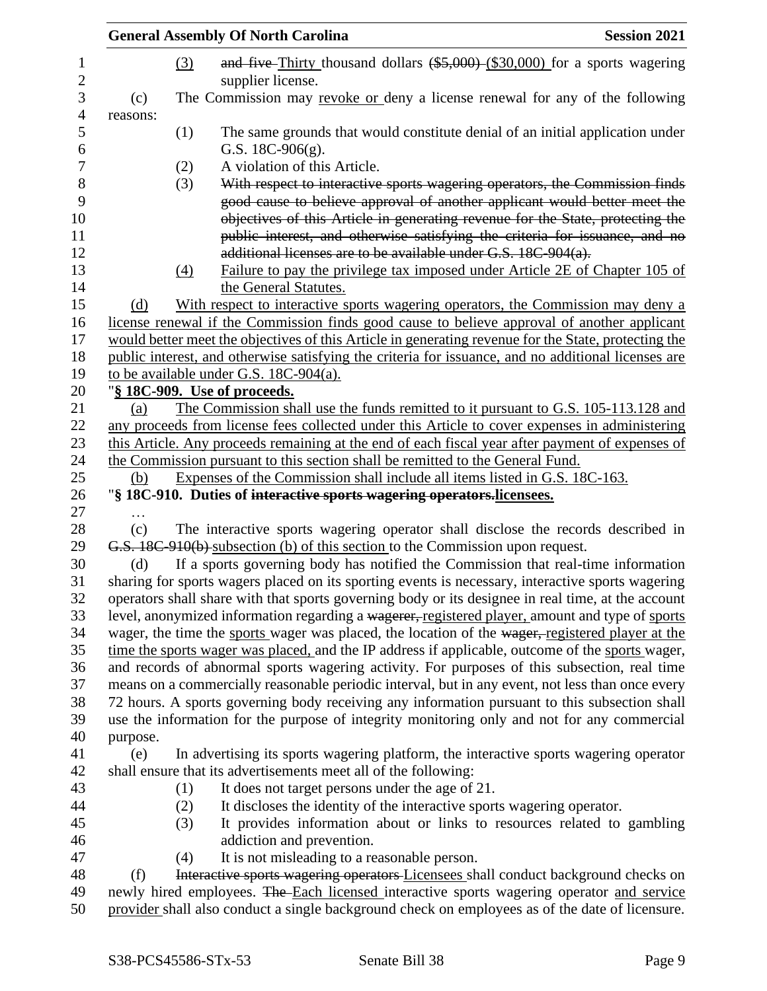|          |            | <b>General Assembly Of North Carolina</b>                                                                                                                                                                                                                                                                                 | <b>Session 2021</b> |
|----------|------------|---------------------------------------------------------------------------------------------------------------------------------------------------------------------------------------------------------------------------------------------------------------------------------------------------------------------------|---------------------|
|          | (3)        | and five-Thirty thousand dollars $(*5,000)$ (\$30,000) for a sports wagering<br>supplier license.                                                                                                                                                                                                                         |                     |
| (c)      |            | The Commission may revoke or deny a license renewal for any of the following                                                                                                                                                                                                                                              |                     |
| reasons: |            |                                                                                                                                                                                                                                                                                                                           |                     |
|          | (1)        | The same grounds that would constitute denial of an initial application under<br>G.S. $18C-906(g)$ .                                                                                                                                                                                                                      |                     |
|          | (2)        | A violation of this Article.                                                                                                                                                                                                                                                                                              |                     |
|          | (3)        | With respect to interactive sports wagering operators, the Commission finds<br>good cause to believe approval of another applicant would better meet the<br>objectives of this Article in generating revenue for the State, protecting the<br>public interest, and otherwise satisfying the criteria for issuance, and no |                     |
|          |            | additional licenses are to be available under G.S. 18C-904(a).                                                                                                                                                                                                                                                            |                     |
|          | (4)        | Failure to pay the privilege tax imposed under Article 2E of Chapter 105 of<br>the General Statutes.                                                                                                                                                                                                                      |                     |
| (d)      |            | With respect to interactive sports wagering operators, the Commission may deny a                                                                                                                                                                                                                                          |                     |
|          |            | license renewal if the Commission finds good cause to believe approval of another applicant                                                                                                                                                                                                                               |                     |
|          |            | would better meet the objectives of this Article in generating revenue for the State, protecting the                                                                                                                                                                                                                      |                     |
|          |            | public interest, and otherwise satisfying the criteria for issuance, and no additional licenses are                                                                                                                                                                                                                       |                     |
|          |            | to be available under G.S. $18C-904(a)$ .                                                                                                                                                                                                                                                                                 |                     |
|          |            | "§ 18C-909. Use of proceeds.                                                                                                                                                                                                                                                                                              |                     |
| (a)      |            | The Commission shall use the funds remitted to it pursuant to G.S. 105-113.128 and                                                                                                                                                                                                                                        |                     |
|          |            | any proceeds from license fees collected under this Article to cover expenses in administering                                                                                                                                                                                                                            |                     |
|          |            | this Article. Any proceeds remaining at the end of each fiscal year after payment of expenses of<br>the Commission pursuant to this section shall be remitted to the General Fund.                                                                                                                                        |                     |
| (b)      |            | Expenses of the Commission shall include all items listed in G.S. 18C-163.                                                                                                                                                                                                                                                |                     |
|          |            | "§ 18C-910. Duties of interactive sports wagering operators.licensees.                                                                                                                                                                                                                                                    |                     |
|          |            |                                                                                                                                                                                                                                                                                                                           |                     |
| (c)      |            | The interactive sports wagering operator shall disclose the records described in                                                                                                                                                                                                                                          |                     |
|          |            | G.S. 18C-910(b) subsection (b) of this section to the Commission upon request.                                                                                                                                                                                                                                            |                     |
| (d)      |            | If a sports governing body has notified the Commission that real-time information                                                                                                                                                                                                                                         |                     |
|          |            | sharing for sports wagers placed on its sporting events is necessary, interactive sports wagering                                                                                                                                                                                                                         |                     |
|          |            | operators shall share with that sports governing body or its designee in real time, at the account                                                                                                                                                                                                                        |                     |
|          |            | level, anonymized information regarding a wagerer, registered player, amount and type of sports                                                                                                                                                                                                                           |                     |
|          |            | wager, the time the sports wager was placed, the location of the wager, registered player at the                                                                                                                                                                                                                          |                     |
|          |            | time the sports wager was placed, and the IP address if applicable, outcome of the sports wager,                                                                                                                                                                                                                          |                     |
|          |            | and records of abnormal sports wagering activity. For purposes of this subsection, real time                                                                                                                                                                                                                              |                     |
|          |            | means on a commercially reasonable periodic interval, but in any event, not less than once every                                                                                                                                                                                                                          |                     |
|          |            | 72 hours. A sports governing body receiving any information pursuant to this subsection shall                                                                                                                                                                                                                             |                     |
|          |            | use the information for the purpose of integrity monitoring only and not for any commercial                                                                                                                                                                                                                               |                     |
| purpose. |            |                                                                                                                                                                                                                                                                                                                           |                     |
| (e)      |            | In advertising its sports wagering platform, the interactive sports wagering operator                                                                                                                                                                                                                                     |                     |
|          |            | shall ensure that its advertisements meet all of the following:                                                                                                                                                                                                                                                           |                     |
|          | (1)        | It does not target persons under the age of 21.<br>It discloses the identity of the interactive sports wagering operator.                                                                                                                                                                                                 |                     |
|          | (2)<br>(3) | It provides information about or links to resources related to gambling                                                                                                                                                                                                                                                   |                     |
|          |            | addiction and prevention.                                                                                                                                                                                                                                                                                                 |                     |
|          | (4)        | It is not misleading to a reasonable person.                                                                                                                                                                                                                                                                              |                     |
| (f)      |            | Interactive sports wagering operators Licensees shall conduct background checks on                                                                                                                                                                                                                                        |                     |
|          |            | newly hired employees. The Each licensed interactive sports wagering operator and service                                                                                                                                                                                                                                 |                     |
|          |            | provider shall also conduct a single background check on employees as of the date of licensure.                                                                                                                                                                                                                           |                     |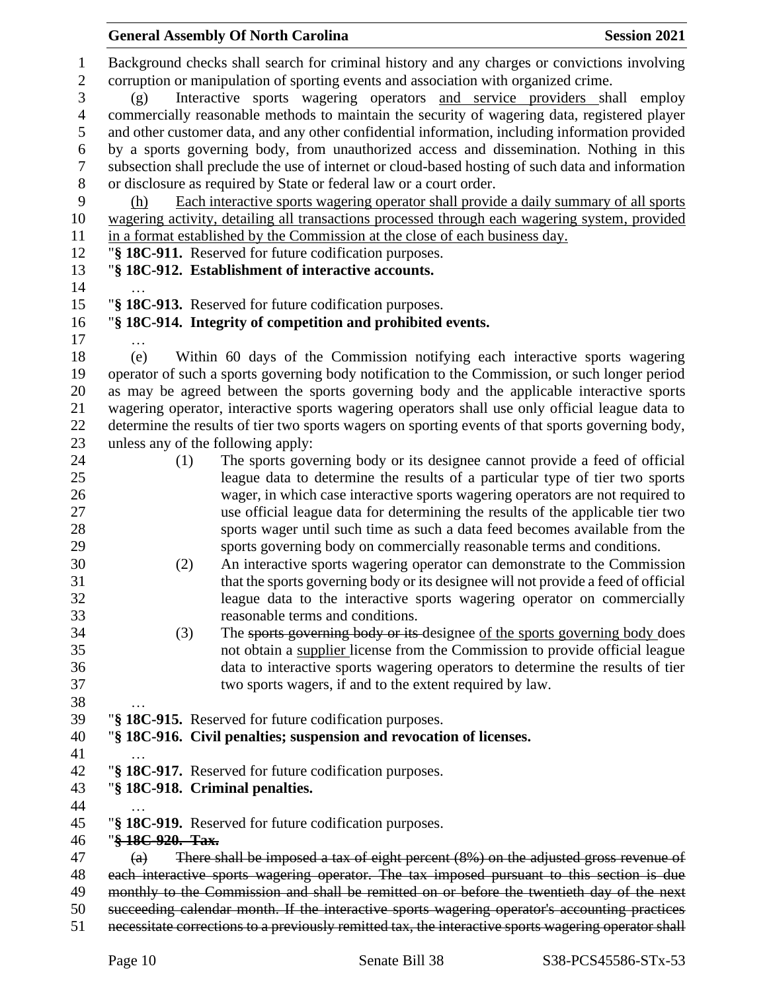|                                                                  | <b>General Assembly Of North Carolina</b>                                                                                                                                                                                                                                                                                                                              | <b>Session 2021</b> |
|------------------------------------------------------------------|------------------------------------------------------------------------------------------------------------------------------------------------------------------------------------------------------------------------------------------------------------------------------------------------------------------------------------------------------------------------|---------------------|
| $\mathbf{1}$<br>$\mathbf{2}$<br>$\mathfrak{Z}$<br>$\overline{4}$ | Background checks shall search for criminal history and any charges or convictions involving<br>corruption or manipulation of sporting events and association with organized crime.<br>Interactive sports wagering operators and service providers shall employ<br>(g)<br>commercially reasonable methods to maintain the security of wagering data, registered player |                     |
|                                                                  |                                                                                                                                                                                                                                                                                                                                                                        |                     |
| 5                                                                | and other customer data, and any other confidential information, including information provided                                                                                                                                                                                                                                                                        |                     |
| 6<br>$\boldsymbol{7}$                                            | by a sports governing body, from unauthorized access and dissemination. Nothing in this<br>subsection shall preclude the use of internet or cloud-based hosting of such data and information                                                                                                                                                                           |                     |
| $8\,$<br>9                                                       | or disclosure as required by State or federal law or a court order.<br>Each interactive sports wagering operator shall provide a daily summary of all sports<br>(h)                                                                                                                                                                                                    |                     |
| 10                                                               | wagering activity, detailing all transactions processed through each wagering system, provided                                                                                                                                                                                                                                                                         |                     |
| 11                                                               | in a format established by the Commission at the close of each business day.                                                                                                                                                                                                                                                                                           |                     |
| 12                                                               | "§ 18C-911. Reserved for future codification purposes.                                                                                                                                                                                                                                                                                                                 |                     |
| 13<br>14                                                         | "§ 18C-912. Establishment of interactive accounts.                                                                                                                                                                                                                                                                                                                     |                     |
| 15                                                               | "§ 18C-913. Reserved for future codification purposes.                                                                                                                                                                                                                                                                                                                 |                     |
| 16                                                               | "§ 18C-914. Integrity of competition and prohibited events.                                                                                                                                                                                                                                                                                                            |                     |
| 17                                                               |                                                                                                                                                                                                                                                                                                                                                                        |                     |
| 18                                                               | Within 60 days of the Commission notifying each interactive sports wagering<br>(e)                                                                                                                                                                                                                                                                                     |                     |
| 19                                                               | operator of such a sports governing body notification to the Commission, or such longer period                                                                                                                                                                                                                                                                         |                     |
| 20                                                               | as may be agreed between the sports governing body and the applicable interactive sports                                                                                                                                                                                                                                                                               |                     |
| 21                                                               | wagering operator, interactive sports wagering operators shall use only official league data to                                                                                                                                                                                                                                                                        |                     |
| 22                                                               | determine the results of tier two sports wagers on sporting events of that sports governing body,                                                                                                                                                                                                                                                                      |                     |
| 23                                                               | unless any of the following apply:                                                                                                                                                                                                                                                                                                                                     |                     |
| 24                                                               | The sports governing body or its designee cannot provide a feed of official<br>(1)                                                                                                                                                                                                                                                                                     |                     |
| 25                                                               | league data to determine the results of a particular type of tier two sports                                                                                                                                                                                                                                                                                           |                     |
| 26<br>27                                                         | wager, in which case interactive sports wagering operators are not required to<br>use official league data for determining the results of the applicable tier two                                                                                                                                                                                                      |                     |
| 28                                                               | sports wager until such time as such a data feed becomes available from the                                                                                                                                                                                                                                                                                            |                     |
| 29                                                               | sports governing body on commercially reasonable terms and conditions.                                                                                                                                                                                                                                                                                                 |                     |
| 30                                                               | An interactive sports wagering operator can demonstrate to the Commission<br>(2)                                                                                                                                                                                                                                                                                       |                     |
| 31                                                               | that the sports governing body or its designee will not provide a feed of official                                                                                                                                                                                                                                                                                     |                     |
| 32                                                               | league data to the interactive sports wagering operator on commercially                                                                                                                                                                                                                                                                                                |                     |
| 33                                                               | reasonable terms and conditions.                                                                                                                                                                                                                                                                                                                                       |                     |
| 34                                                               | The sports governing body or its designee of the sports governing body does<br>(3)                                                                                                                                                                                                                                                                                     |                     |
| 35                                                               | not obtain a supplier license from the Commission to provide official league                                                                                                                                                                                                                                                                                           |                     |
| 36                                                               | data to interactive sports wagering operators to determine the results of tier                                                                                                                                                                                                                                                                                         |                     |
| 37                                                               | two sports wagers, if and to the extent required by law.                                                                                                                                                                                                                                                                                                               |                     |
| 38                                                               |                                                                                                                                                                                                                                                                                                                                                                        |                     |
| 39                                                               | "§ 18C-915. Reserved for future codification purposes.                                                                                                                                                                                                                                                                                                                 |                     |
| 40                                                               | "§ 18C-916. Civil penalties; suspension and revocation of licenses.                                                                                                                                                                                                                                                                                                    |                     |
| 41                                                               |                                                                                                                                                                                                                                                                                                                                                                        |                     |
| 42                                                               | "§ 18C-917. Reserved for future codification purposes.                                                                                                                                                                                                                                                                                                                 |                     |
| 43                                                               | "§ 18C-918. Criminal penalties.                                                                                                                                                                                                                                                                                                                                        |                     |
| 44<br>45                                                         | "§ 18C-919. Reserved for future codification purposes.                                                                                                                                                                                                                                                                                                                 |                     |
| 46                                                               | "§18C-920. Tax.                                                                                                                                                                                                                                                                                                                                                        |                     |
| 47                                                               | There shall be imposed a tax of eight percent $(8\%)$ on the adjusted gross revenue of<br>$\left( a\right)$                                                                                                                                                                                                                                                            |                     |
| 48                                                               | each interactive sports wagering operator. The tax imposed pursuant to this section is due                                                                                                                                                                                                                                                                             |                     |
| 49                                                               | monthly to the Commission and shall be remitted on or before the twentieth day of the next                                                                                                                                                                                                                                                                             |                     |
| 50                                                               | succeeding calendar month. If the interactive sports wagering operator's accounting practices                                                                                                                                                                                                                                                                          |                     |
| 51                                                               | necessitate corrections to a previously remitted tax, the interactive sports wagering operator shall                                                                                                                                                                                                                                                                   |                     |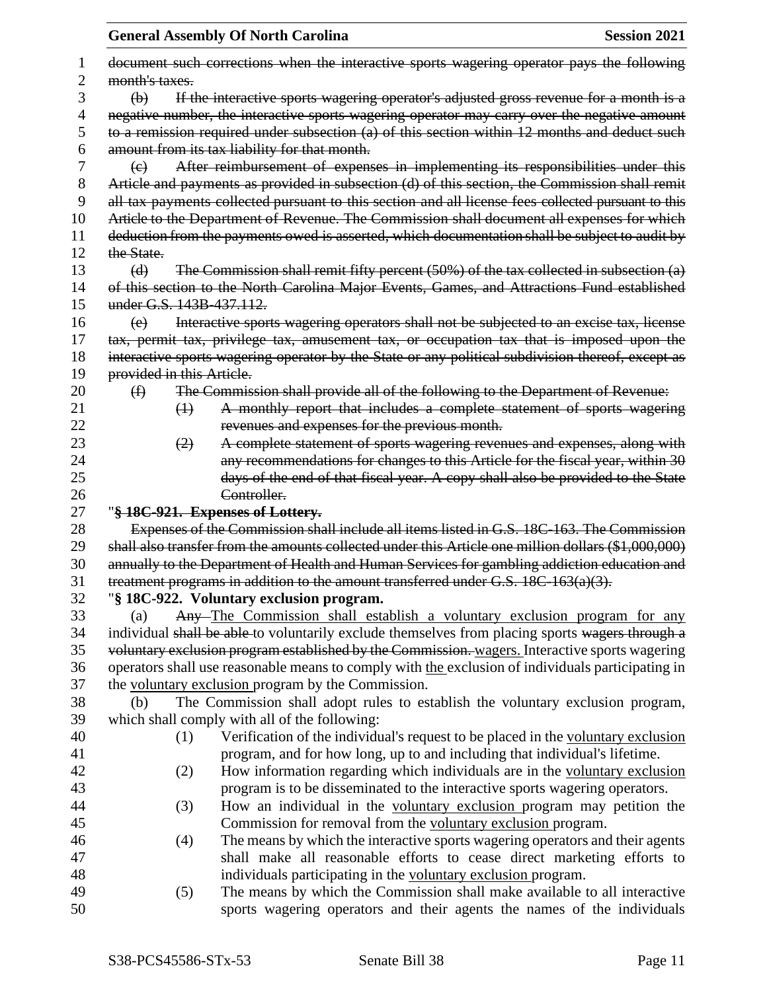|    |                           | <b>General Assembly Of North Carolina</b>                                                           | <b>Session 2021</b> |
|----|---------------------------|-----------------------------------------------------------------------------------------------------|---------------------|
|    |                           | document such corrections when the interactive sports wagering operator pays the following          |                     |
| 2  | month's taxes.            |                                                                                                     |                     |
| 3  | $\Theta$                  | If the interactive sports wagering operator's adjusted gross revenue for a month is a               |                     |
| 4  |                           | negative number, the interactive sports wagering operator may carry over the negative amount        |                     |
| 5  |                           | to a remission required under subsection (a) of this section within 12 months and deduct such       |                     |
| 6  |                           | amount from its tax liability for that month.                                                       |                     |
| 7  | $\left(\epsilon\right)$   | After reimbursement of expenses in implementing its responsibilities under this                     |                     |
| 8  |                           | Article and payments as provided in subsection (d) of this section, the Commission shall remit      |                     |
| 9  |                           | all tax payments collected pursuant to this section and all license fees collected pursuant to this |                     |
| 10 |                           | Article to the Department of Revenue. The Commission shall document all expenses for which          |                     |
| 11 |                           | deduction from the payments owed is asserted, which documentation shall be subject to audit by      |                     |
| 12 | the State.                |                                                                                                     |                     |
| 13 | (d)                       | The Commission shall remit fifty percent $(50%)$ of the tax collected in subsection $(a)$           |                     |
| 14 |                           | of this section to the North Carolina Major Events, Games, and Attractions Fund established         |                     |
| 15 | under G.S. 143B-437.112.  |                                                                                                     |                     |
| 16 | (e)                       | Interactive sports wagering operators shall not be subjected to an excise tax, license              |                     |
| 17 |                           | tax, permit tax, privilege tax, amusement tax, or occupation tax that is imposed upon the           |                     |
| 18 |                           | interactive sports wagering operator by the State or any political subdivision thereof, except as   |                     |
| 19 | provided in this Article. |                                                                                                     |                     |
| 20 | $\bigoplus$               | The Commission shall provide all of the following to the Department of Revenue:                     |                     |
| 21 | $\bigoplus$               | A monthly report that includes a complete statement of sports wagering                              |                     |
| 22 |                           | revenues and expenses for the previous month.                                                       |                     |
| 23 | (2)                       | A complete statement of sports wagering revenues and expenses, along with                           |                     |
| 24 |                           | any recommendations for changes to this Article for the fiscal year, within 30                      |                     |
| 25 |                           | days of the end of that fiscal year. A copy shall also be provided to the State                     |                     |
| 26 |                           | Controller.                                                                                         |                     |
| 27 |                           | "§ 18C-921. Expenses of Lottery.                                                                    |                     |
| 28 |                           | Expenses of the Commission shall include all items listed in G.S. 18C-163. The Commission           |                     |
| 29 |                           | shall also transfer from the amounts collected under this Article one million dollars (\$1,000,000) |                     |
| 30 |                           | annually to the Department of Health and Human Services for gambling addiction education and        |                     |
| 31 |                           | treatment programs in addition to the amount transferred under G.S. 18C-163(a)(3).                  |                     |
| 32 |                           | "§ 18C-922. Voluntary exclusion program.                                                            |                     |
| 33 | (a)                       | Any-The Commission shall establish a voluntary exclusion program for any                            |                     |
| 34 |                           | individual shall be able to voluntarily exclude themselves from placing sports wagers through a     |                     |
| 35 |                           | voluntary exclusion program established by the Commission. wagers. Interactive sports wagering      |                     |
| 36 |                           | operators shall use reasonable means to comply with the exclusion of individuals participating in   |                     |
| 37 |                           | the voluntary exclusion program by the Commission.                                                  |                     |
| 38 | (b)                       | The Commission shall adopt rules to establish the voluntary exclusion program,                      |                     |
| 39 |                           | which shall comply with all of the following:                                                       |                     |
| 40 | (1)                       | Verification of the individual's request to be placed in the voluntary exclusion                    |                     |
| 41 |                           | program, and for how long, up to and including that individual's lifetime.                          |                     |
| 42 | (2)                       | How information regarding which individuals are in the voluntary exclusion                          |                     |
| 43 |                           | program is to be disseminated to the interactive sports wagering operators.                         |                     |
| 44 | (3)                       | How an individual in the voluntary exclusion program may petition the                               |                     |
| 45 |                           | Commission for removal from the voluntary exclusion program.                                        |                     |
| 46 | (4)                       | The means by which the interactive sports wagering operators and their agents                       |                     |
| 47 |                           | shall make all reasonable efforts to cease direct marketing efforts to                              |                     |
| 48 |                           | individuals participating in the voluntary exclusion program.                                       |                     |
| 49 | (5)                       | The means by which the Commission shall make available to all interactive                           |                     |
| 50 |                           | sports wagering operators and their agents the names of the individuals                             |                     |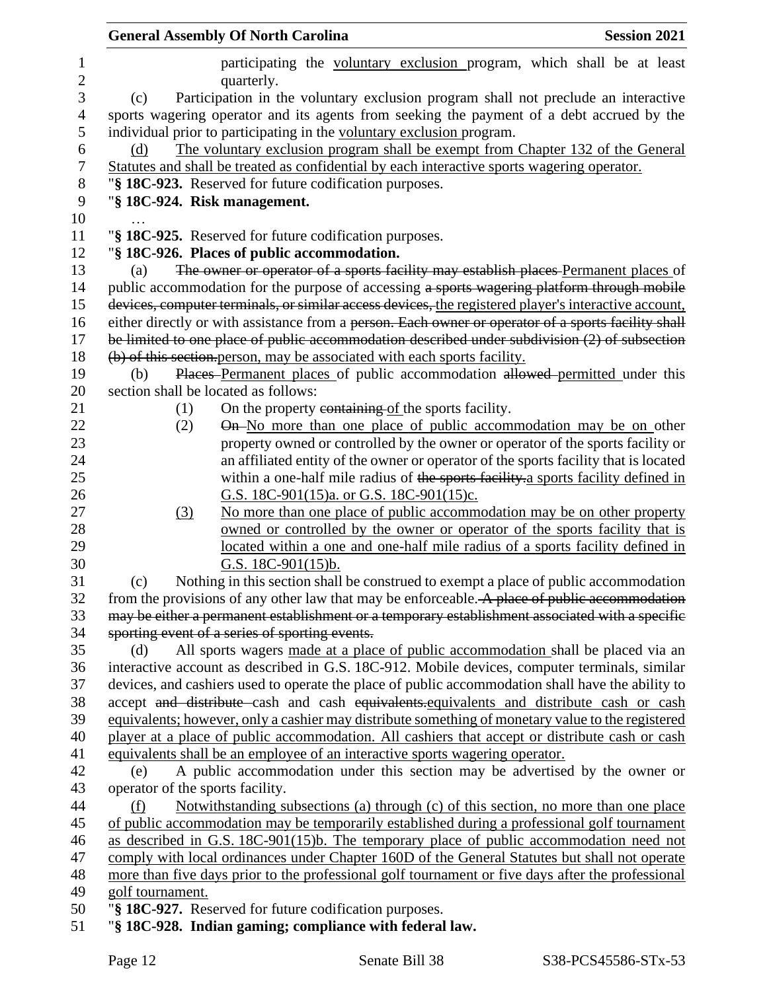|                     | <b>General Assembly Of North Carolina</b><br><b>Session 2021</b>                                                            |
|---------------------|-----------------------------------------------------------------------------------------------------------------------------|
| 1<br>$\overline{2}$ | participating the voluntary exclusion program, which shall be at least<br>quarterly.                                        |
| $\mathfrak{Z}$      | Participation in the voluntary exclusion program shall not preclude an interactive<br>(c)                                   |
| 4                   | sports wagering operator and its agents from seeking the payment of a debt accrued by the                                   |
| 5                   | individual prior to participating in the voluntary exclusion program.                                                       |
| 6                   | The voluntary exclusion program shall be exempt from Chapter 132 of the General<br>(d)                                      |
| 7                   | Statutes and shall be treated as confidential by each interactive sports wagering operator.                                 |
| 8                   | "§ 18C-923. Reserved for future codification purposes.                                                                      |
| 9                   | "§ 18C-924. Risk management.                                                                                                |
| 10                  |                                                                                                                             |
| 11                  | "§ 18C-925. Reserved for future codification purposes.                                                                      |
| 12                  | "§ 18C-926. Places of public accommodation.                                                                                 |
| 13                  | The owner or operator of a sports facility may establish places Permanent places of<br>(a)                                  |
| 14                  | public accommodation for the purpose of accessing a sports wagering platform through mobile                                 |
| 15                  | devices, computer terminals, or similar access devices, the registered player's interactive account,                        |
| 16                  | either directly or with assistance from a person. Each owner or operator of a sports facility shall                         |
| 17                  | be limited to one place of public accommodation described under subdivision (2) of subsection                               |
| 18                  | (b) of this section person, may be associated with each sports facility.                                                    |
| 19<br>20            | Places Permanent places of public accommodation allowed permitted under this<br>(b)<br>section shall be located as follows: |
| 21                  | On the property containing of the sports facility.<br>(1)                                                                   |
| 22                  | On-No more than one place of public accommodation may be on other<br>(2)                                                    |
| 23                  | property owned or controlled by the owner or operator of the sports facility or                                             |
| 24                  | an affiliated entity of the owner or operator of the sports facility that is located                                        |
| 25                  | within a one-half mile radius of the sports facility a sports facility defined in                                           |
| 26                  | G.S. 18C-901(15)a. or G.S. 18C-901(15)c.                                                                                    |
| 27                  | No more than one place of public accommodation may be on other property<br>(3)                                              |
| 28                  | owned or controlled by the owner or operator of the sports facility that is                                                 |
| 29                  | located within a one and one-half mile radius of a sports facility defined in                                               |
| 30                  | G.S. $18C-901(15)b$ .                                                                                                       |
| 31                  | Nothing in this section shall be construed to exempt a place of public accommodation<br>(c)                                 |
| 32                  | from the provisions of any other law that may be enforceable. A place of public accommodation                               |
| 33                  | may be either a permanent establishment or a temporary establishment associated with a specific                             |
| 34                  | sporting event of a series of sporting events.                                                                              |
| 35                  | All sports wagers made at a place of public accommodation shall be placed via an<br>(d)                                     |
| 36                  | interactive account as described in G.S. 18C-912. Mobile devices, computer terminals, similar                               |
| 37                  | devices, and cashiers used to operate the place of public accommodation shall have the ability to                           |
| 38                  | accept and distribute cash and cash equivalents equivalents and distribute cash or cash                                     |
| 39                  | equivalents; however, only a cashier may distribute something of monetary value to the registered                           |
| 40                  | player at a place of public accommodation. All cashiers that accept or distribute cash or cash                              |
| 41                  | equivalents shall be an employee of an interactive sports wagering operator.                                                |
| 42                  | A public accommodation under this section may be advertised by the owner or<br>(e)                                          |
| 43                  | operator of the sports facility.                                                                                            |
| 44                  | Notwithstanding subsections (a) through (c) of this section, no more than one place<br>(f)                                  |
| 45                  | of public accommodation may be temporarily established during a professional golf tournament                                |
| 46                  | as described in G.S. 18C-901(15)b. The temporary place of public accommodation need not                                     |
| 47                  | comply with local ordinances under Chapter 160D of the General Statutes but shall not operate                               |
| 48                  | more than five days prior to the professional golf tournament or five days after the professional                           |
| 49                  | golf tournament.                                                                                                            |
| 50                  | "§ 18C-927. Reserved for future codification purposes.                                                                      |
| 51                  | "§ 18C-928. Indian gaming; compliance with federal law.                                                                     |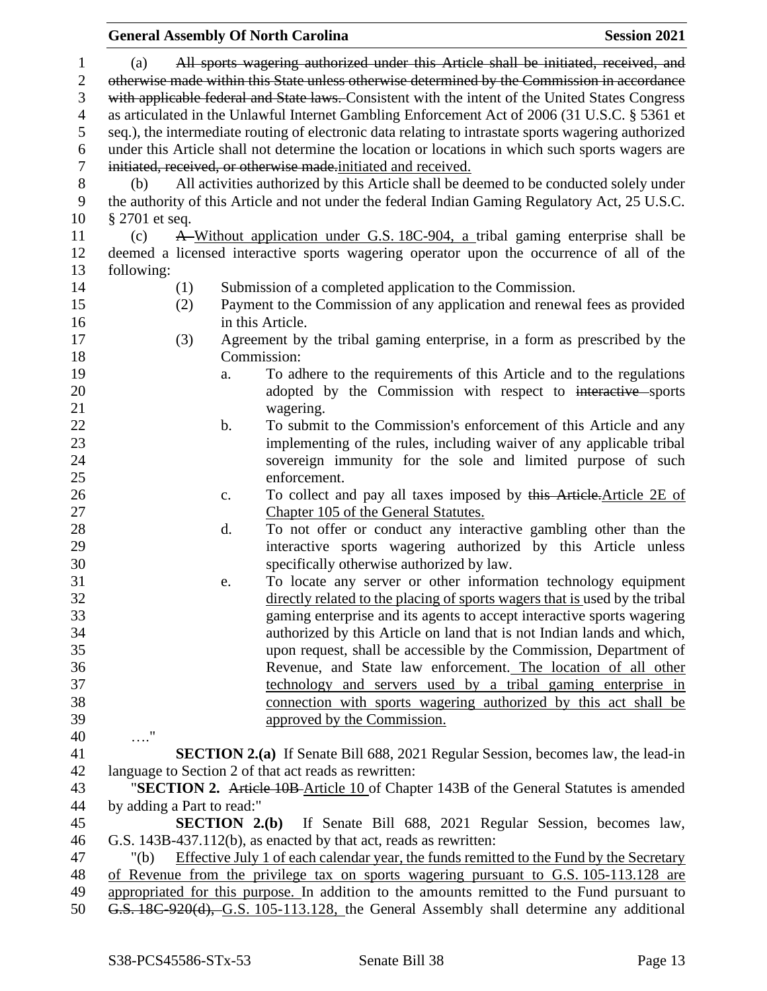## **General Assembly Of North Carolina Session 2021**  (a) All sports wagering authorized under this Article shall be initiated, received, and 2 otherwise made within this State unless otherwise determined by the Commission in accordance with applicable federal and State laws. Consistent with the intent of the United States Congress as articulated in the Unlawful Internet Gambling Enforcement Act of 2006 (31 U.S.C. § 5361 et seq.), the intermediate routing of electronic data relating to intrastate sports wagering authorized under this Article shall not determine the location or locations in which such sports wagers are initiated, received, or otherwise made.initiated and received. (b) All activities authorized by this Article shall be deemed to be conducted solely under the authority of this Article and not under the federal Indian Gaming Regulatory Act, 25 U.S.C. § 2701 et seq. (c) A Without application under G.S. 18C-904, a tribal gaming enterprise shall be deemed a licensed interactive sports wagering operator upon the occurrence of all of the following: (1) Submission of a completed application to the Commission. (2) Payment to the Commission of any application and renewal fees as provided in this Article. (3) Agreement by the tribal gaming enterprise, in a form as prescribed by the Commission: a. To adhere to the requirements of this Article and to the regulations 20 adopted by the Commission with respect to interactive sports wagering. 22 b. To submit to the Commission's enforcement of this Article and any implementing of the rules, including waiver of any applicable tribal sovereign immunity for the sole and limited purpose of such enforcement. 26 c. To collect and pay all taxes imposed by this Article.Article 2E of Chapter 105 of the General Statutes. d. To not offer or conduct any interactive gambling other than the interactive sports wagering authorized by this Article unless specifically otherwise authorized by law. e. To locate any server or other information technology equipment directly related to the placing of sports wagers that is used by the tribal gaming enterprise and its agents to accept interactive sports wagering authorized by this Article on land that is not Indian lands and which, upon request, shall be accessible by the Commission, Department of Revenue, and State law enforcement. The location of all other technology and servers used by a tribal gaming enterprise in connection with sports wagering authorized by this act shall be approved by the Commission. …." **SECTION 2.(a)** If Senate Bill 688, 2021 Regular Session, becomes law, the lead-in language to Section 2 of that act reads as rewritten: "**SECTION 2.** Article 10B Article 10 of Chapter 143B of the General Statutes is amended by adding a Part to read:" **SECTION 2.(b)** If Senate Bill 688, 2021 Regular Session, becomes law, G.S. 143B-437.112(b), as enacted by that act, reads as rewritten: "(b) Effective July 1 of each calendar year, the funds remitted to the Fund by the Secretary of Revenue from the privilege tax on sports wagering pursuant to G.S. 105-113.128 are appropriated for this purpose. In addition to the amounts remitted to the Fund pursuant to G.S. 18C-920(d), G.S. 105-113.128, the General Assembly shall determine any additional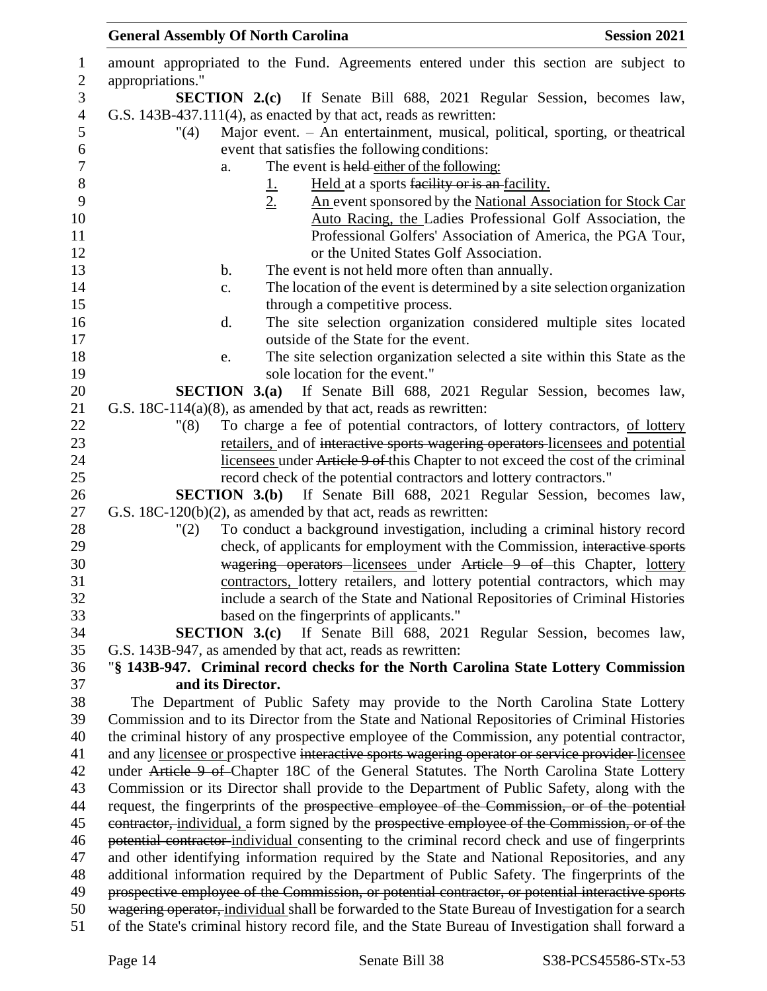| $\mathbf{1}$     | amount appropriated to the Fund. Agreements entered under this section are subject to                |
|------------------|------------------------------------------------------------------------------------------------------|
| $\mathbf{2}$     | appropriations."                                                                                     |
| 3                | <b>SECTION 2.(c)</b> If Senate Bill 688, 2021 Regular Session, becomes law,                          |
| $\overline{4}$   | G.S. 143B-437.111(4), as enacted by that act, reads as rewritten:                                    |
| 5                | Major event. - An entertainment, musical, political, sporting, or theatrical<br>$^{\prime\prime}(4)$ |
| 6                | event that satisfies the following conditions:                                                       |
| $\boldsymbol{7}$ | The event is held either of the following:<br>a.                                                     |
| $8\,$            | Held at a sports facility or is an facility.                                                         |
| 9                | $\frac{1}{2}$<br>An event sponsored by the National Association for Stock Car                        |
| 10               | Auto Racing, the Ladies Professional Golf Association, the                                           |
| 11               | Professional Golfers' Association of America, the PGA Tour,                                          |
| 12               | or the United States Golf Association.                                                               |
| 13               | The event is not held more often than annually.<br>b.                                                |
| 14               | The location of the event is determined by a site selection organization<br>c.                       |
| 15               | through a competitive process.                                                                       |
| 16               | The site selection organization considered multiple sites located<br>d.                              |
| 17               | outside of the State for the event.                                                                  |
| 18               | The site selection organization selected a site within this State as the<br>e.                       |
| 19               | sole location for the event."                                                                        |
| 20               | <b>SECTION 3.(a)</b> If Senate Bill 688, 2021 Regular Session, becomes law,                          |
| 21               | G.S. $18C-114(a)(8)$ , as amended by that act, reads as rewritten:                                   |
| 22               | To charge a fee of potential contractors, of lottery contractors, of lottery<br>"(8)                 |
| 23               | retailers, and of interactive sports wagering operators licensees and potential                      |
| 24               | licensees under Article 9 of this Chapter to not exceed the cost of the criminal                     |
| 25               | record check of the potential contractors and lottery contractors."                                  |
| 26               | <b>SECTION 3.(b)</b> If Senate Bill 688, 2021 Regular Session, becomes law,                          |
| 27               | G.S. 18C-120(b)(2), as amended by that act, reads as rewritten:                                      |
| 28               | To conduct a background investigation, including a criminal history record<br>"(2)                   |
| 29               | check, of applicants for employment with the Commission, interactive sports                          |
| 30               | wagering operators licensees under Article 9 of this Chapter, lottery                                |
| 31               | contractors, lottery retailers, and lottery potential contractors, which may                         |
| 32               | include a search of the State and National Repositories of Criminal Histories                        |
| 33               | based on the fingerprints of applicants."                                                            |
| 34               | <b>SECTION 3.(c)</b> If Senate Bill 688, 2021 Regular Session, becomes law,                          |
| 35               | G.S. 143B-947, as amended by that act, reads as rewritten:                                           |
| 36               | "§ 143B-947. Criminal record checks for the North Carolina State Lottery Commission                  |
| 37               | and its Director.                                                                                    |
| 38               | The Department of Public Safety may provide to the North Carolina State Lottery                      |
| 39               | Commission and to its Director from the State and National Repositories of Criminal Histories        |
| 40               | the criminal history of any prospective employee of the Commission, any potential contractor,        |
| 41               | and any licensee or prospective interactive sports wagering operator or service provider licensee    |
| 42               | under Article 9 of Chapter 18C of the General Statutes. The North Carolina State Lottery             |
| 43               | Commission or its Director shall provide to the Department of Public Safety, along with the          |
| 44               | request, the fingerprints of the prospective employee of the Commission, or of the potential         |
| 45               | contractor, individual, a form signed by the prospective employee of the Commission, or of the       |
| 46               | potential contractor individual consenting to the criminal record check and use of fingerprints      |
| 47               | and other identifying information required by the State and National Repositories, and any           |
| 48               | additional information required by the Department of Public Safety. The fingerprints of the          |
| 49               | prospective employee of the Commission, or potential contractor, or potential interactive sports     |
| 50               | wagering operator, individual shall be forwarded to the State Bureau of Investigation for a search   |
| 51               | of the State's criminal history record file, and the State Bureau of Investigation shall forward a   |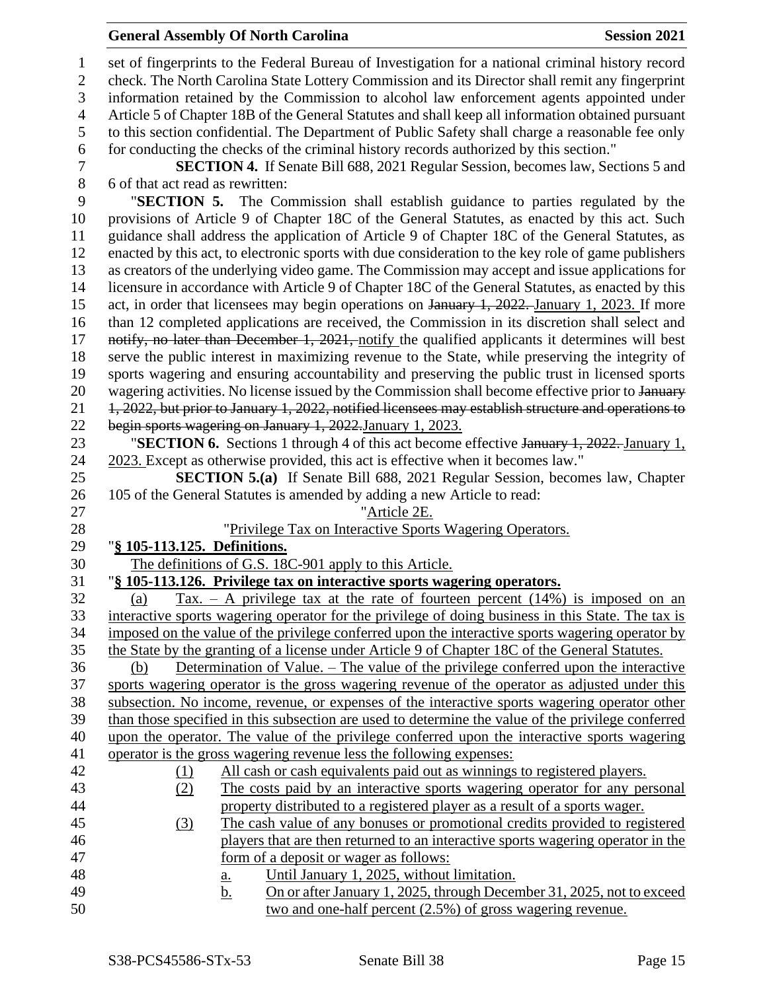### **General Assembly Of North Carolina Session 2021**

 set of fingerprints to the Federal Bureau of Investigation for a national criminal history record check. The North Carolina State Lottery Commission and its Director shall remit any fingerprint information retained by the Commission to alcohol law enforcement agents appointed under Article 5 of Chapter 18B of the General Statutes and shall keep all information obtained pursuant to this section confidential. The Department of Public Safety shall charge a reasonable fee only for conducting the checks of the criminal history records authorized by this section." **SECTION 4.** If Senate Bill 688, 2021 Regular Session, becomes law, Sections 5 and 6 of that act read as rewritten: "**SECTION 5.** The Commission shall establish guidance to parties regulated by the provisions of Article 9 of Chapter 18C of the General Statutes, as enacted by this act. Such guidance shall address the application of Article 9 of Chapter 18C of the General Statutes, as enacted by this act, to electronic sports with due consideration to the key role of game publishers as creators of the underlying video game. The Commission may accept and issue applications for licensure in accordance with Article 9 of Chapter 18C of the General Statutes, as enacted by this 15 act, in order that licensees may begin operations on January 1, 2022. January 1, 2023. If more than 12 completed applications are received, the Commission in its discretion shall select and 17 notify, no later than December 1, 2021, notify the qualified applicants it determines will best serve the public interest in maximizing revenue to the State, while preserving the integrity of sports wagering and ensuring accountability and preserving the public trust in licensed sports 20 wagering activities. No license issued by the Commission shall become effective prior to January 1, 2022, but prior to January 1, 2022, notified licensees may establish structure and operations to begin sports wagering on January 1, 2022.January 1, 2023. "**SECTION 6.** Sections 1 through 4 of this act become effective January 1, 2022. January 1, 2023. Except as otherwise provided, this act is effective when it becomes law." **SECTION 5.(a)** If Senate Bill 688, 2021 Regular Session, becomes law, Chapter 105 of the General Statutes is amended by adding a new Article to read: "Article 2E. "Privilege Tax on Interactive Sports Wagering Operators. "**§ 105-113.125. Definitions.** The definitions of G.S. 18C-901 apply to this Article. "**§ 105-113.126. Privilege tax on interactive sports wagering operators.** 32 (a) Tax. – A privilege tax at the rate of fourteen percent  $(14%)$  is imposed on an interactive sports wagering operator for the privilege of doing business in this State. The tax is imposed on the value of the privilege conferred upon the interactive sports wagering operator by the State by the granting of a license under Article 9 of Chapter 18C of the General Statutes. (b) Determination of Value. – The value of the privilege conferred upon the interactive sports wagering operator is the gross wagering revenue of the operator as adjusted under this subsection. No income, revenue, or expenses of the interactive sports wagering operator other than those specified in this subsection are used to determine the value of the privilege conferred upon the operator. The value of the privilege conferred upon the interactive sports wagering operator is the gross wagering revenue less the following expenses: (1) All cash or cash equivalents paid out as winnings to registered players. (2) The costs paid by an interactive sports wagering operator for any personal property distributed to a registered player as a result of a sports wager. (3) The cash value of any bonuses or promotional credits provided to registered players that are then returned to an interactive sports wagering operator in the form of a deposit or wager as follows: a. Until January 1, 2025, without limitation. 49 b. On or after January 1, 2025, through December 31, 2025, not to exceed two and one-half percent (2.5%) of gross wagering revenue.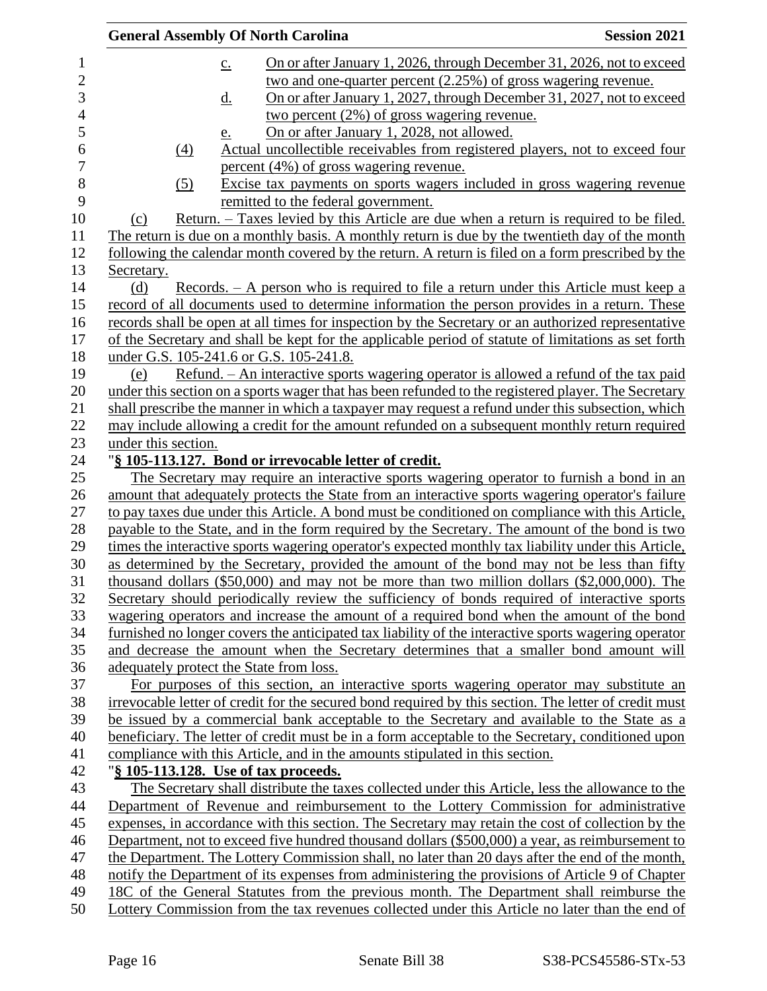| <b>General Assembly Of North Carolina</b><br><b>Session 2021</b>                                                                                                                                                                                   |
|----------------------------------------------------------------------------------------------------------------------------------------------------------------------------------------------------------------------------------------------------|
| On or after January 1, 2026, through December 31, 2026, not to exceed<br>$\underline{c}$ .<br>two and one-quarter percent (2.25%) of gross wagering revenue.<br>On or after January 1, 2027, through December 31, 2027, not to exceed<br><u>d.</u> |
| two percent $(2\%)$ of gross wagering revenue.                                                                                                                                                                                                     |
| On or after January 1, 2028, not allowed.<br><u>e.</u>                                                                                                                                                                                             |
| $\left(4\right)$<br>Actual uncollectible receivables from registered players, not to exceed four<br>percent (4%) of gross wagering revenue.                                                                                                        |
| Excise tax payments on sports wagers included in gross wagering revenue<br>(5)<br>remitted to the federal government.                                                                                                                              |
| Return. – Taxes levied by this Article are due when a return is required to be filed.<br>(c)                                                                                                                                                       |
| The return is due on a monthly basis. A monthly return is due by the twentieth day of the month                                                                                                                                                    |
| following the calendar month covered by the return. A return is filed on a form prescribed by the                                                                                                                                                  |
| Secretary.                                                                                                                                                                                                                                         |
| Records. – A person who is required to file a return under this Article must keep a<br>(d)                                                                                                                                                         |
| record of all documents used to determine information the person provides in a return. These                                                                                                                                                       |
| records shall be open at all times for inspection by the Secretary or an authorized representative                                                                                                                                                 |
| of the Secretary and shall be kept for the applicable period of statute of limitations as set forth                                                                                                                                                |
| under G.S. 105-241.6 or G.S. 105-241.8.                                                                                                                                                                                                            |
| Refund. - An interactive sports wagering operator is allowed a refund of the tax paid<br>(e)                                                                                                                                                       |
| under this section on a sports wager that has been refunded to the registered player. The Secretary                                                                                                                                                |
| shall prescribe the manner in which a taxpayer may request a refund under this subsection, which                                                                                                                                                   |
| may include allowing a credit for the amount refunded on a subsequent monthly return required                                                                                                                                                      |
| under this section.                                                                                                                                                                                                                                |
| "§ 105-113.127. Bond or irrevocable letter of credit.                                                                                                                                                                                              |
| The Secretary may require an interactive sports wagering operator to furnish a bond in an                                                                                                                                                          |
| amount that adequately protects the State from an interactive sports wagering operator's failure                                                                                                                                                   |
| to pay taxes due under this Article. A bond must be conditioned on compliance with this Article,                                                                                                                                                   |
| payable to the State, and in the form required by the Secretary. The amount of the bond is two                                                                                                                                                     |
|                                                                                                                                                                                                                                                    |
| times the interactive sports wagering operator's expected monthly tax liability under this Article,                                                                                                                                                |
| as determined by the Secretary, provided the amount of the bond may not be less than fifty                                                                                                                                                         |
| thousand dollars $(\$50,000)$ and may not be more than two million dollars $(\$2,000,000)$ . The                                                                                                                                                   |
| Secretary should periodically review the sufficiency of bonds required of interactive sports                                                                                                                                                       |
| wagering operators and increase the amount of a required bond when the amount of the bond                                                                                                                                                          |
| furnished no longer covers the anticipated tax liability of the interactive sports wagering operator                                                                                                                                               |
| and decrease the amount when the Secretary determines that a smaller bond amount will                                                                                                                                                              |
| adequately protect the State from loss.                                                                                                                                                                                                            |
| For purposes of this section, an interactive sports wagering operator may substitute an                                                                                                                                                            |
| irrevocable letter of credit for the secured bond required by this section. The letter of credit must                                                                                                                                              |
| be issued by a commercial bank acceptable to the Secretary and available to the State as a                                                                                                                                                         |
| beneficiary. The letter of credit must be in a form acceptable to the Secretary, conditioned upon                                                                                                                                                  |
| compliance with this Article, and in the amounts stipulated in this section.                                                                                                                                                                       |
| "§ 105-113.128. Use of tax proceeds.                                                                                                                                                                                                               |
| The Secretary shall distribute the taxes collected under this Article, less the allowance to the                                                                                                                                                   |
| Department of Revenue and reimbursement to the Lottery Commission for administrative                                                                                                                                                               |
| expenses, in accordance with this section. The Secretary may retain the cost of collection by the                                                                                                                                                  |
| Department, not to exceed five hundred thousand dollars (\$500,000) a year, as reimbursement to                                                                                                                                                    |
| the Department. The Lottery Commission shall, no later than 20 days after the end of the month,                                                                                                                                                    |
| notify the Department of its expenses from administering the provisions of Article 9 of Chapter                                                                                                                                                    |
| 18C of the General Statutes from the previous month. The Department shall reimburse the                                                                                                                                                            |
| Lottery Commission from the tax revenues collected under this Article no later than the end of                                                                                                                                                     |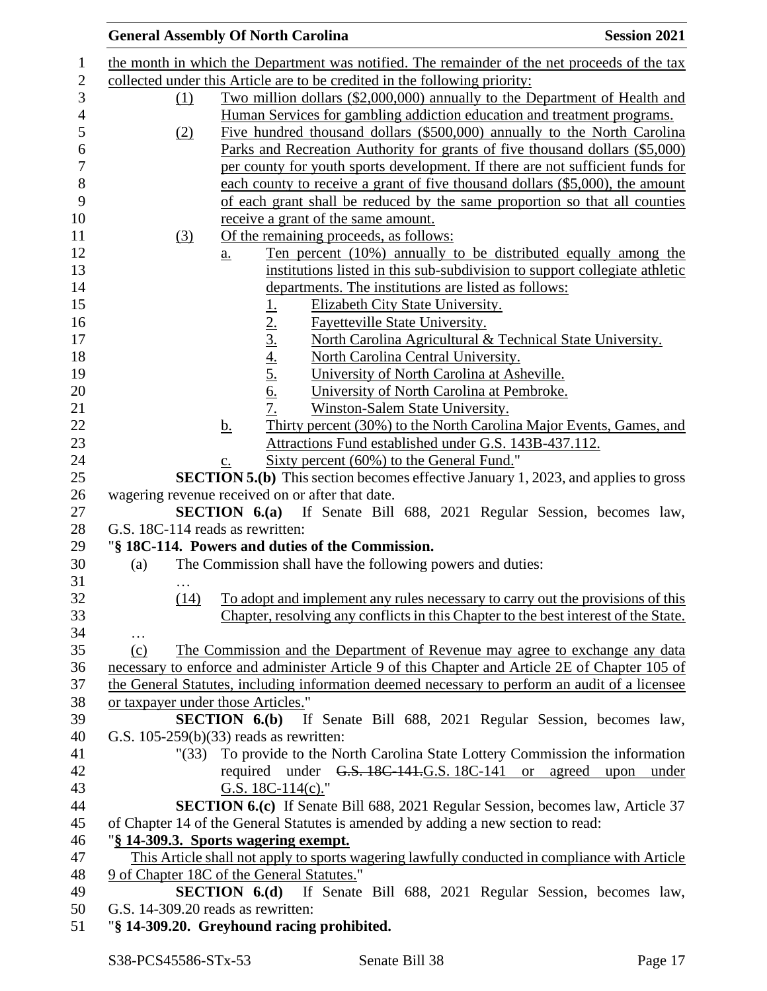| <b>Session 2021</b>                                                                            |
|------------------------------------------------------------------------------------------------|
| the month in which the Department was notified. The remainder of the net proceeds of the tax   |
|                                                                                                |
| Two million dollars (\$2,000,000) annually to the Department of Health and                     |
| Human Services for gambling addiction education and treatment programs.                        |
| Five hundred thousand dollars (\$500,000) annually to the North Carolina                       |
| <u>Parks and Recreation Authority for grants of five thousand dollars (\$5,000)</u>            |
|                                                                                                |
| per county for youth sports development. If there are not sufficient funds for                 |
| each county to receive a grant of five thousand dollars (\$5,000), the amount                  |
| of each grant shall be reduced by the same proportion so that all counties                     |
|                                                                                                |
|                                                                                                |
| Ten percent (10%) annually to be distributed equally among the                                 |
| institutions listed in this sub-subdivision to support collegiate athletic                     |
|                                                                                                |
|                                                                                                |
|                                                                                                |
| North Carolina Agricultural & Technical State University.                                      |
|                                                                                                |
|                                                                                                |
|                                                                                                |
|                                                                                                |
| Thirty percent (30%) to the North Carolina Major Events, Games, and                            |
| Attractions Fund established under G.S. 143B-437.112.                                          |
|                                                                                                |
| <b>SECTION 5.(b)</b> This section becomes effective January 1, 2023, and applies to gross      |
|                                                                                                |
| <b>SECTION 6.(a)</b> If Senate Bill 688, 2021 Regular Session, becomes law,                    |
|                                                                                                |
|                                                                                                |
|                                                                                                |
|                                                                                                |
| To adopt and implement any rules necessary to carry out the provisions of this                 |
| Chapter, resolving any conflicts in this Chapter to the best interest of the State.            |
|                                                                                                |
| The Commission and the Department of Revenue may agree to exchange any data                    |
| necessary to enforce and administer Article 9 of this Chapter and Article 2E of Chapter 105 of |
| the General Statutes, including information deemed necessary to perform an audit of a licensee |
|                                                                                                |
| <b>SECTION 6.(b)</b> If Senate Bill 688, 2021 Regular Session, becomes law,                    |
|                                                                                                |
| "(33) To provide to the North Carolina State Lottery Commission the information                |
| required under G.S. 18C-141.G.S. 18C-141 or agreed upon under                                  |
|                                                                                                |
| <b>SECTION 6.(c)</b> If Senate Bill 688, 2021 Regular Session, becomes law, Article 37         |
| of Chapter 14 of the General Statutes is amended by adding a new section to read:              |
|                                                                                                |
| This Article shall not apply to sports wagering lawfully conducted in compliance with Article  |
|                                                                                                |
|                                                                                                |
| <b>SECTION 6.(d)</b> If Senate Bill 688, 2021 Regular Session, becomes law,                    |
|                                                                                                |
|                                                                                                |